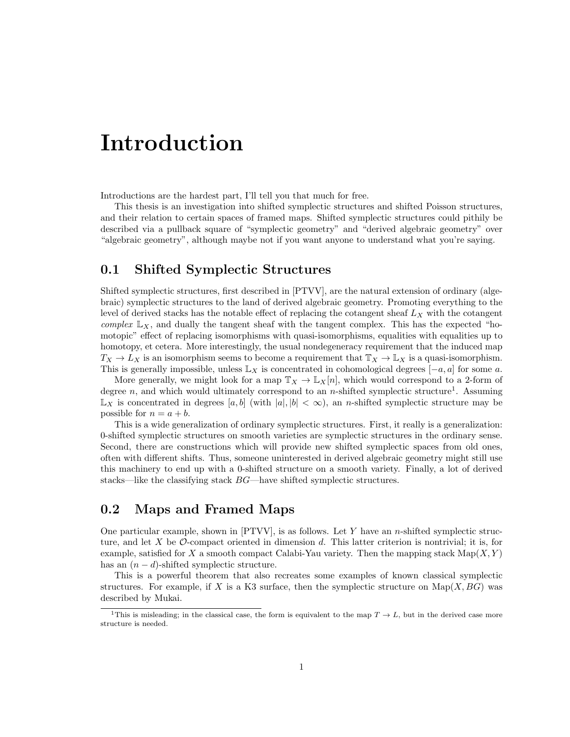## Introduction

Introductions are the hardest part, I'll tell you that much for free.

This thesis is an investigation into shifted symplectic structures and shifted Poisson structures, and their relation to certain spaces of framed maps. Shifted symplectic structures could pithily be described via a pullback square of "symplectic geometry" and "derived algebraic geometry" over "algebraic geometry", although maybe not if you want anyone to understand what you're saying.

#### 0.1 Shifted Symplectic Structures

Shifted symplectic structures, first described in [PTVV], are the natural extension of ordinary (algebraic) symplectic structures to the land of derived algebraic geometry. Promoting everything to the level of derived stacks has the notable effect of replacing the cotangent sheaf  $L_X$  with the cotangent complex  $\mathbb{L}_X$ , and dually the tangent sheaf with the tangent complex. This has the expected "homotopic" effect of replacing isomorphisms with quasi-isomorphisms, equalities with equalities up to homotopy, et cetera. More interestingly, the usual nondegeneracy requirement that the induced map  $T_X \to L_X$  is an isomorphism seems to become a requirement that  $T_X \to L_X$  is a quasi-isomorphism. This is generally impossible, unless  $\mathbb{L}_X$  is concentrated in cohomological degrees  $[-a, a]$  for some a.

More generally, we might look for a map  $\mathbb{T}_X \to \mathbb{L}_X[n]$ , which would correspond to a 2-form of degree n, and which would ultimately correspond to an n-shifted symplectic structure<sup>1</sup>. Assuming  $\mathbb{L}_X$  is concentrated in degrees  $[a, b]$  (with  $|a|, |b| < \infty$ ), an *n*-shifted symplectic structure may be possible for  $n = a + b$ .

This is a wide generalization of ordinary symplectic structures. First, it really is a generalization: 0-shifted symplectic structures on smooth varieties are symplectic structures in the ordinary sense. Second, there are constructions which will provide new shifted symplectic spaces from old ones, often with different shifts. Thus, someone uninterested in derived algebraic geometry might still use this machinery to end up with a 0-shifted structure on a smooth variety. Finally, a lot of derived stacks—like the classifying stack BG—have shifted symplectic structures.

### 0.2 Maps and Framed Maps

One particular example, shown in  $[PTVV]$ , is as follows. Let Y have an n-shifted symplectic structure, and let X be  $\mathcal O$ -compact oriented in dimension d. This latter criterion is nontrivial; it is, for example, satisfied for X a smooth compact Calabi-Yau variety. Then the mapping stack  $\text{Map}(X, Y)$ has an  $(n - d)$ -shifted symplectic structure.

This is a powerful theorem that also recreates some examples of known classical symplectic structures. For example, if X is a K3 surface, then the symplectic structure on  $\text{Map}(X, BG)$  was described by Mukai.

<sup>&</sup>lt;sup>1</sup>This is misleading; in the classical case, the form is equivalent to the map  $T \to L$ , but in the derived case more structure is needed.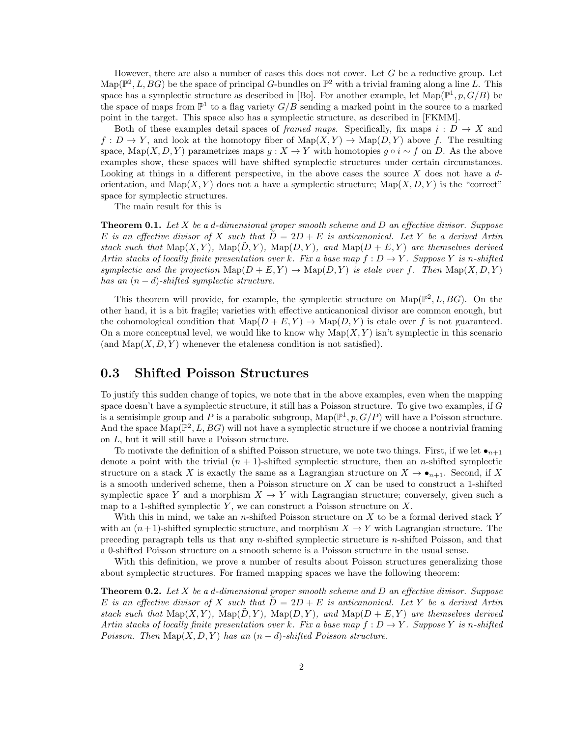However, there are also a number of cases this does not cover. Let  $G$  be a reductive group. Let  $\text{Map}(\mathbb{P}^2, L, BG)$  be the space of principal G-bundles on  $\mathbb{P}^2$  with a trivial framing along a line L. This space has a symplectic structure as described in [Bo]. For another example, let  $\text{Map}(\mathbb{P}^1, p, G/B)$  be the space of maps from  $\mathbb{P}^1$  to a flag variety  $G/B$  sending a marked point in the source to a marked point in the target. This space also has a symplectic structure, as described in [FKMM].

Both of these examples detail spaces of *framed maps*. Specifically, fix maps  $i: D \to X$  and  $f: D \to Y$ , and look at the homotopy fiber of  $\text{Map}(X, Y) \to \text{Map}(D, Y)$  above f. The resulting space, Map $(X, D, Y)$  parametrizes maps  $g: X \to Y$  with homotopies  $g \circ i \sim f$  on D. As the above examples show, these spaces will have shifted symplectic structures under certain circumstances. Looking at things in a different perspective, in the above cases the source  $X$  does not have a  $d$ orientation, and  $\text{Map}(X, Y)$  does not a have a symplectic structure;  $\text{Map}(X, D, Y)$  is the "correct" space for symplectic structures.

The main result for this is

**Theorem 0.1.** Let X be a d-dimensional proper smooth scheme and D an effective divisor. Suppose E is an effective divisor of X such that  $D = 2D + E$  is anticanonical. Let Y be a derived Artin stack such that  $\text{Map}(X, Y)$ ,  $\text{Map}(D, Y)$ ,  $\text{Map}(D, Y)$ , and  $\text{Map}(D + E, Y)$  are themselves derived Artin stacks of locally finite presentation over k. Fix a base map  $f: D \to Y$ . Suppose Y is n-shifted symplectic and the projection  $\text{Map}(D + E, Y) \to \text{Map}(D, Y)$  is etale over f. Then  $\text{Map}(X, D, Y)$ has an  $(n - d)$ -shifted symplectic structure.

This theorem will provide, for example, the symplectic structure on  $\text{Map}(\mathbb{P}^2, L, BG)$ . On the other hand, it is a bit fragile; varieties with effective anticanonical divisor are common enough, but the cohomological condition that  $\text{Map}(D + E, Y) \to \text{Map}(D, Y)$  is etale over f is not guaranteed. On a more conceptual level, we would like to know why  $\text{Map}(X, Y)$  isn't symplectic in this scenario (and  $\text{Map}(X, D, Y)$  whenever the etaleness condition is not satisfied).

#### 0.3 Shifted Poisson Structures

To justify this sudden change of topics, we note that in the above examples, even when the mapping space doesn't have a symplectic structure, it still has a Poisson structure. To give two examples, if  $G$ is a semisimple group and P is a parabolic subgroup,  $\text{Map}(\mathbb{P}^1, p, G/P)$  will have a Poisson structure. And the space  $\text{Map}(\mathbb{P}^2, L, BG)$  will not have a symplectic structure if we choose a nontrivial framing on L, but it will still have a Poisson structure.

To motivate the definition of a shifted Poisson structure, we note two things. First, if we let  $\bullet_{n+1}$ denote a point with the trivial  $(n + 1)$ -shifted symplectic structure, then an *n*-shifted symplectic structure on a stack X is exactly the same as a Lagrangian structure on  $X \to \bullet_{n+1}$ . Second, if X is a smooth underived scheme, then a Poisson structure on  $X$  can be used to construct a 1-shifted symplectic space Y and a morphism  $X \to Y$  with Lagrangian structure; conversely, given such a map to a 1-shifted symplectic  $Y$ , we can construct a Poisson structure on  $X$ .

With this in mind, we take an n-shifted Poisson structure on  $X$  to be a formal derived stack Y with an  $(n+1)$ -shifted symplectic structure, and morphism  $X \to Y$  with Lagrangian structure. The preceding paragraph tells us that any n-shifted symplectic structure is n-shifted Poisson, and that a 0-shifted Poisson structure on a smooth scheme is a Poisson structure in the usual sense.

With this definition, we prove a number of results about Poisson structures generalizing those about symplectic structures. For framed mapping spaces we have the following theorem:

**Theorem 0.2.** Let X be a d-dimensional proper smooth scheme and D an effective divisor. Suppose E is an effective divisor of X such that  $D = 2D + E$  is anticanonical. Let Y be a derived Artin stack such that  $\text{Map}(X, Y)$ ,  $\text{Map}(D, Y)$ ,  $\text{Map}(D, Y)$ , and  $\text{Map}(D + E, Y)$  are themselves derived Artin stacks of locally finite presentation over k. Fix a base map  $f: D \to Y$ . Suppose Y is n-shifted Poisson. Then  $\text{Map}(X, D, Y)$  has an  $(n-d)$ -shifted Poisson structure.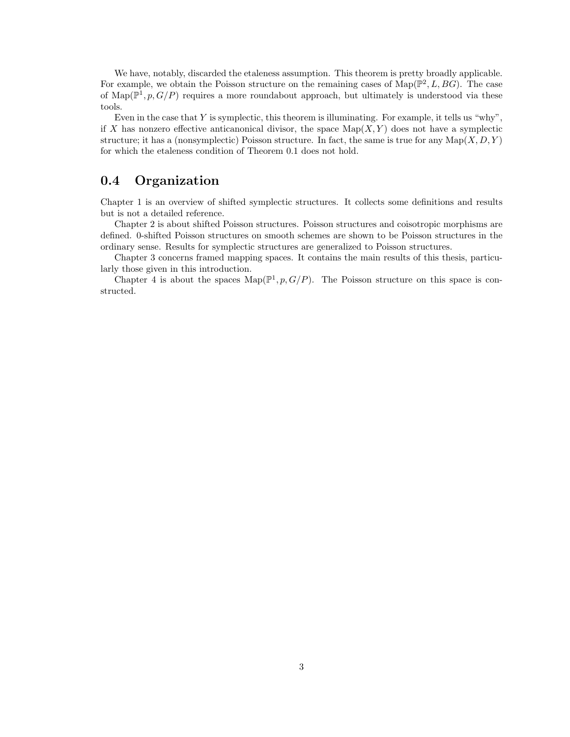We have, notably, discarded the etaleness assumption. This theorem is pretty broadly applicable. For example, we obtain the Poisson structure on the remaining cases of  $\text{Map}(\mathbb{P}^2, L, BG)$ . The case of Map( $\mathbb{P}^1$ ,  $p$ ,  $G/P$ ) requires a more roundabout approach, but ultimately is understood via these tools.

Even in the case that  $Y$  is symplectic, this theorem is illuminating. For example, it tells us "why", if X has nonzero effective anticanonical divisor, the space  $\text{Map}(X, Y)$  does not have a symplectic structure; it has a (nonsymplectic) Poisson structure. In fact, the same is true for any  $\text{Map}(X, D, Y)$ for which the etaleness condition of Theorem 0.1 does not hold.

### 0.4 Organization

Chapter 1 is an overview of shifted symplectic structures. It collects some definitions and results but is not a detailed reference.

Chapter 2 is about shifted Poisson structures. Poisson structures and coisotropic morphisms are defined. 0-shifted Poisson structures on smooth schemes are shown to be Poisson structures in the ordinary sense. Results for symplectic structures are generalized to Poisson structures.

Chapter 3 concerns framed mapping spaces. It contains the main results of this thesis, particularly those given in this introduction.

Chapter 4 is about the spaces  $\text{Map}(\mathbb{P}^1, p, G/P)$ . The Poisson structure on this space is constructed.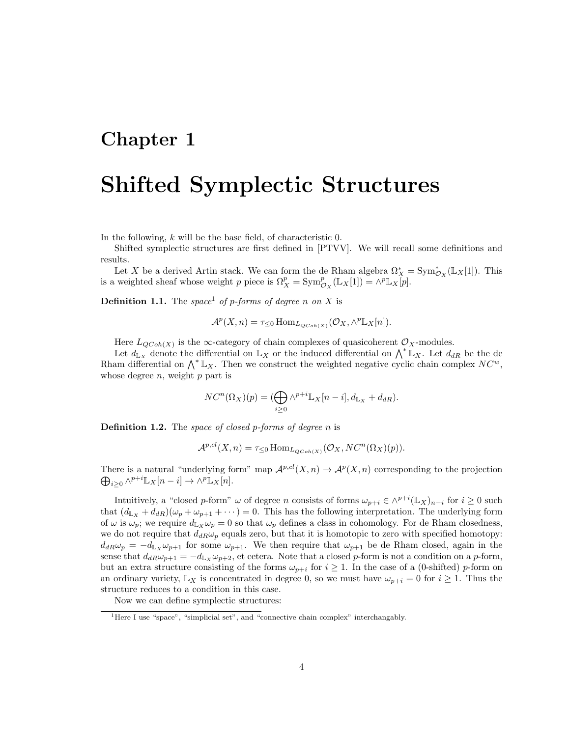### Chapter 1

## Shifted Symplectic Structures

In the following, k will be the base field, of characteristic 0.

Shifted symplectic structures are first defined in [PTVV]. We will recall some definitions and results.

Let X be a derived Artin stack. We can form the de Rham algebra  $\Omega_X^* = \text{Sym}^*_{\mathcal{O}_X}(\mathbb{L}_X[1])$ . This is a weighted sheaf whose weight p piece is  $\Omega_X^p = \text{Sym}^p_{\mathcal{O}_X}(\mathbb{L}_X[1]) = \wedge^p \mathbb{L}_X[p]$ .

**Definition 1.1.** The space<sup>1</sup> of p-forms of degree n on X is

$$
\mathcal{A}^p(X,n) = \tau_{\leq 0} \operatorname{Hom}_{L_{QCoh(X)}}(\mathcal{O}_X, \wedge^p \mathbb{L}_X[n]).
$$

Here  $L_{QCoh(X)}$  is the  $\infty$ -category of chain complexes of quasicoherent  $\mathcal{O}_X$ -modules.

Let  $d_{\mathbb{L}_X}$  denote the differential on  $\mathbb{L}_X$  or the induced differential on  $\bigwedge^* \mathbb{L}_X$ . Let  $d_{dR}$  be the de Rham differential on  $\bigwedge^* \mathbb{L}_X$ . Then we construct the weighted negative cyclic chain complex  $NC^w$ , whose degree  $n$ , weight  $p$  part is

$$
NC^{n}(\Omega_{X})(p) = (\bigoplus_{i \geq 0} \wedge^{p+i} \mathbb{L}_{X}[n-i], d_{\mathbb{L}_{X}} + d_{dR}).
$$

**Definition 1.2.** The space of closed p-forms of degree n is

$$
\mathcal{A}^{p,cl}(X,n) = \tau_{\leq 0} \operatorname{Hom}_{L_{QCoh(X)}}(\mathcal{O}_X, NC^n(\Omega_X)(p)).
$$

There is a natural "underlying form" map  $\mathcal{A}^{p,cl}(X,n) \to \mathcal{A}^p(X,n)$  corresponding to the projection  $\bigoplus_{i\geq 0} \wedge^{p+i} \mathbb{L}_X[n-i] \to \wedge^p \mathbb{L}_X[n].$ 

Intuitively, a "closed p-form"  $\omega$  of degree n consists of forms  $\omega_{p+i} \in \wedge^{p+i} (\mathbb{L}_X)_{n-i}$  for  $i \geq 0$  such that  $(d_{L_X} + d_{dR})(\omega_p + \omega_{p+1} + \cdots) = 0$ . This has the following interpretation. The underlying form of  $\omega$  is  $\omega_p$ ; we require  $d_{L_X}\omega_p = 0$  so that  $\omega_p$  defines a class in cohomology. For de Rham closedness, we do not require that  $d_{dR}\omega_p$  equals zero, but that it is homotopic to zero with specified homotopy:  $d_{dR}\omega_p = -d_{L_X}\omega_{p+1}$  for some  $\omega_{p+1}$ . We then require that  $\omega_{p+1}$  be de Rham closed, again in the sense that  $d_{dR}\omega_{p+1} = -d_{L_X}\omega_{p+2}$ , et cetera. Note that a closed p-form is not a condition on a p-form, but an extra structure consisting of the forms  $\omega_{p+i}$  for  $i \geq 1$ . In the case of a (0-shifted) p-form on an ordinary variety,  $\mathbb{L}_X$  is concentrated in degree 0, so we must have  $\omega_{p+i} = 0$  for  $i \geq 1$ . Thus the structure reduces to a condition in this case.

Now we can define symplectic structures:

<sup>&</sup>lt;sup>1</sup>Here I use "space", "simplicial set", and "connective chain complex" interchangably.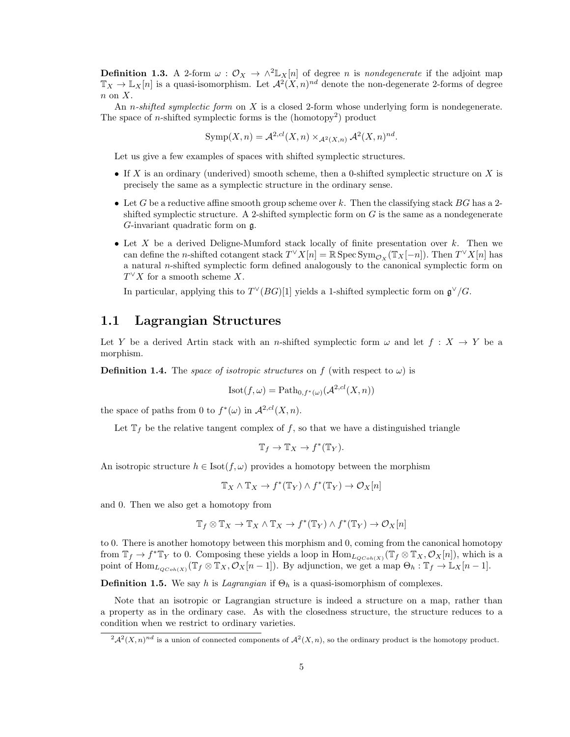**Definition 1.3.** A 2-form  $\omega$  :  $\mathcal{O}_X \to \wedge^2 \mathbb{L}_X[n]$  of degree *n* is *nondegenerate* if the adjoint map  $\mathbb{T}_X \to \mathbb{L}_X[n]$  is a quasi-isomorphism. Let  $\mathcal{A}^2(X,n)^{nd}$  denote the non-degenerate 2-forms of degree  $n \text{ on } X$ .

An *n-shifted symplectic form* on  $X$  is a closed 2-form whose underlying form is nondegenerate. The space of *n*-shifted symplectic forms is the  $(homotopy<sup>2</sup>)$  product

$$
Symp(X, n) = \mathcal{A}^{2, cl}(X, n) \times_{\mathcal{A}^2(X, n)} \mathcal{A}^2(X, n)^{nd}.
$$

Let us give a few examples of spaces with shifted symplectic structures.

- If X is an ordinary (underived) smooth scheme, then a 0-shifted symplectic structure on X is precisely the same as a symplectic structure in the ordinary sense.
- Let G be a reductive affine smooth group scheme over k. Then the classifying stack  $BG$  has a 2shifted symplectic structure. A 2-shifted symplectic form on  $G$  is the same as a nondegenerate G-invariant quadratic form on g.
- Let X be a derived Deligne-Mumford stack locally of finite presentation over  $k$ . Then we can define the *n*-shifted cotangent stack  $T^{\vee}X[n] = \mathbb{R}$  Spec  $\text{Sym}_{\mathcal{O}_X}(\mathbb{T}_X[-n])$ . Then  $T^{\vee}X[n]$  has a natural n-shifted symplectic form defined analogously to the canonical symplectic form on  $T^{\vee}X$  for a smooth scheme X.

In particular, applying this to  $T^{\vee}(BG)[1]$  yields a 1-shifted symplectic form on  $\mathfrak{g}^{\vee}/G$ .

### 1.1 Lagrangian Structures

Let Y be a derived Artin stack with an n-shifted symplectic form  $\omega$  and let  $f : X \to Y$  be a morphism.

**Definition 1.4.** The space of isotropic structures on f (with respect to  $\omega$ ) is

$$
Isot(f, \omega) = \text{Path}_{0, f^*(\omega)}(\mathcal{A}^{2, cl}(X, n))
$$

the space of paths from 0 to  $f^*(\omega)$  in  $\mathcal{A}^{2,cl}(X,n)$ .

Let  $\mathbb{T}_f$  be the relative tangent complex of f, so that we have a distinguished triangle

$$
\mathbb{T}_f \to \mathbb{T}_X \to f^*(\mathbb{T}_Y).
$$

An isotropic structure  $h \in \text{Isot}(f, \omega)$  provides a homotopy between the morphism

$$
\mathbb{T}_X \wedge \mathbb{T}_X \to f^*(\mathbb{T}_Y) \wedge f^*(\mathbb{T}_Y) \to \mathcal{O}_X[n]
$$

and 0. Then we also get a homotopy from

$$
\mathbb{T}_f\otimes\mathbb{T}_X\to\mathbb{T}_X\wedge\mathbb{T}_X\to f^*(\mathbb{T}_Y)\wedge f^*(\mathbb{T}_Y)\to\mathcal{O}_X[n]
$$

to 0. There is another homotopy between this morphism and 0, coming from the canonical homotopy from  $\mathbb{T}_f \to f^* \mathbb{T}_Y$  to 0. Composing these yields a loop in  $\text{Hom}_{L_{QCoh(X)}}(\mathbb{T}_f \otimes \mathbb{T}_X, \mathcal{O}_X[n])$ , which is a point of  $\text{Hom}_{L_{QCoh(X)}}(\mathbb{T}_f \otimes \mathbb{T}_X, \mathcal{O}_X[n-1])$ . By adjunction, we get a map  $\Theta_h: \mathbb{T}_f \to \mathbb{L}_X[n-1]$ .

**Definition 1.5.** We say h is *Lagrangian* if  $\Theta_h$  is a quasi-isomorphism of complexes.

Note that an isotropic or Lagrangian structure is indeed a structure on a map, rather than a property as in the ordinary case. As with the closedness structure, the structure reduces to a condition when we restrict to ordinary varieties.

 $^{2}A^{2}(X, n)^{nd}$  is a union of connected components of  $A^{2}(X, n)$ , so the ordinary product is the homotopy product.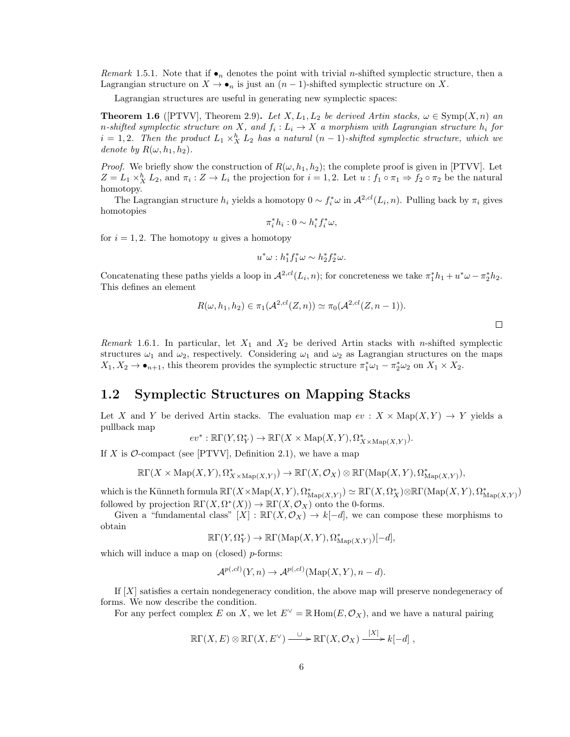Remark 1.5.1. Note that if  $\bullet_n$  denotes the point with trivial *n*-shifted symplectic structure, then a Lagrangian structure on  $X \to \bullet_n$  is just an  $(n-1)$ -shifted symplectic structure on X.

Lagrangian structures are useful in generating new symplectic spaces:

**Theorem 1.6** ([PTVV], Theorem 2.9). Let X,  $L_1, L_2$  be derived Artin stacks,  $\omega \in \text{Symp}(X, n)$  and n-shifted symplectic structure on X, and  $f_i: L_i \to X$  a morphism with Lagrangian structure  $h_i$  for  $i = 1, 2$ . Then the product  $L_1 \times_X^h L_2$  has a natural  $(n-1)$ -shifted symplectic structure, which we denote by  $R(\omega, h_1, h_2)$ .

*Proof.* We briefly show the construction of  $R(\omega, h_1, h_2)$ ; the complete proof is given in [PTVV]. Let  $Z = L_1 \times_X^h L_2$ , and  $\pi_i : Z \to L_i$  the projection for  $i = 1, 2$ . Let  $u : f_1 \circ \pi_1 \Rightarrow f_2 \circ \pi_2$  be the natural homotopy.

The Lagrangian structure  $h_i$  yields a homotopy  $0 \sim f_i^* \omega$  in  $\mathcal{A}^{2,cl}(L_i, n)$ . Pulling back by  $\pi_i$  gives homotopies

$$
\pi_i^* h_i : 0 \sim h_i^* f_i^* \omega,
$$

for  $i = 1, 2$ . The homotopy u gives a homotopy

$$
u^*\omega: h_1^*f_1^*\omega \sim h_2^*f_2^*\omega.
$$

Concatenating these paths yields a loop in  $\mathcal{A}^{2,cl}(L_i, n)$ ; for concreteness we take  $\pi_1^*h_1 + u^*\omega - \pi_2^*h_2$ . This defines an element

$$
R(\omega, h_1, h_2) \in \pi_1(\mathcal{A}^{2,cl}(Z, n)) \simeq \pi_0(\mathcal{A}^{2,cl}(Z, n-1)).
$$

 $\Box$ 

Remark 1.6.1. In particular, let  $X_1$  and  $X_2$  be derived Artin stacks with n-shifted symplectic structures  $\omega_1$  and  $\omega_2$ , respectively. Considering  $\omega_1$  and  $\omega_2$  as Lagrangian structures on the maps  $X_1, X_2 \to \bullet_{n+1}$ , this theorem provides the symplectic structure  $\pi_1^*\omega_1 - \pi_2^*\omega_2$  on  $X_1 \times X_2$ .

### 1.2 Symplectic Structures on Mapping Stacks

Let X and Y be derived Artin stacks. The evaluation map  $ev : X \times \text{Map}(X, Y) \to Y$  yields a pullback map

$$
ev^*: \mathbb{R}\Gamma(Y, \Omega_Y^*) \to \mathbb{R}\Gamma(X \times \text{Map}(X, Y), \Omega^*_{X \times \text{Map}(X, Y)}).
$$

If X is  $\mathcal{O}\text{-compact}$  (see [PTVV], Definition 2.1), we have a map

$$
\mathbb{R}\Gamma(X\times {\rm{Map}}(X,Y),\Omega^*_{X\times {\rm{Map}}(X,Y)})\to \mathbb{R}\Gamma(X,\mathcal{O}_X)\otimes \mathbb{R}\Gamma({\rm{Map}}(X,Y),\Omega^*_{{\rm{Map}}(X,Y)}),
$$

which is the Künneth formula  $\mathbb{R}\Gamma(X \times \mathrm{Map}(X,Y), \Omega^*_{\mathrm{Map}(X,Y)}) \simeq \mathbb{R}\Gamma(X, \Omega^*_X) \otimes \mathbb{R}\Gamma(\mathrm{Map}(X,Y), \Omega^*_{\mathrm{Map}(X,Y)})$ followed by projection  $\mathbb{R}\Gamma(X, \Omega^*(X)) \to \mathbb{R}\Gamma(X, \mathcal{O}_X)$  onto the 0-forms.

Given a "fundamental class"  $[X] : \mathbb{R}\Gamma(X, \mathcal{O}_X) \to k[-d]$ , we can compose these morphisms to obtain

$$
\mathbb{R}\Gamma(Y,\Omega^*_Y)\to \mathbb{R}\Gamma(\mathrm{Map}(X,Y),\Omega^*_{\mathrm{Map}(X,Y)})[-d],
$$

which will induce a map on (closed)  $p$ -forms:

$$
\mathcal{A}^{p(,cl)}(Y,n) \to \mathcal{A}^{p(,cl)}(\mathrm{Map}(X,Y),n-d).
$$

If [X] satisfies a certain nondegeneracy condition, the above map will preserve nondegeneracy of forms. We now describe the condition.

For any perfect complex E on X, we let  $E^{\vee} = \mathbb{R}$  Hom $(E, \mathcal{O}_X)$ , and we have a natural pairing

$$
\mathbb{R}\Gamma(X,E)\otimes\mathbb{R}\Gamma(X,E^{\vee})\xrightarrow{\cup}\mathbb{R}\Gamma(X,\mathcal{O}_X)\xrightarrow{[X]}k[-d],
$$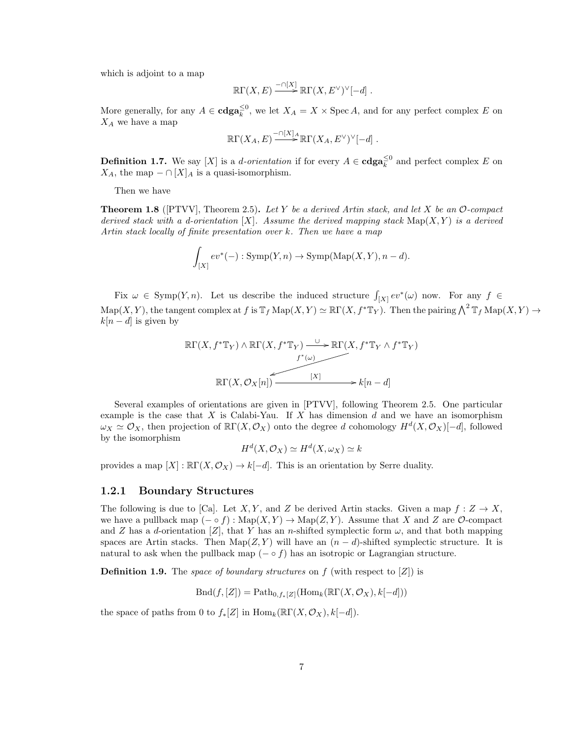which is adjoint to a map

$$
\mathbb{R}\Gamma(X,E) \xrightarrow{-\cap [X]} \mathbb{R}\Gamma(X,E^{\vee})^{\vee}[-d] .
$$

More generally, for any  $A \in \mathbf{cdga}_{k}^{\leq 0}$ , we let  $X_A = X \times \operatorname{Spec} A$ , and for any perfect complex E on  $X_A$  we have a map

$$
\mathbb{R}\Gamma(X_A, E) \xrightarrow{-\cap [X]_A} \mathbb{R}\Gamma(X_A, E^{\vee})^{\vee}[-d] .
$$

**Definition 1.7.** We say [X] is a *d-orientation* if for every  $A \in \mathbf{cdga}_k^{\leq 0}$  and perfect complex E on  $X_A$ , the map  $-\cap [X]_A$  is a quasi-isomorphism.

Then we have

**Theorem 1.8** ( $[PTVV]$ , Theorem 2.5). Let Y be a derived Artin stack, and let X be an O-compact derived stack with a d-orientation  $[X]$ . Assume the derived mapping stack  $\text{Map}(X, Y)$  is a derived Artin stack locally of finite presentation over k. Then we have a map

$$
\int_{[X]} ev^*(-): \mathrm{Symp}(Y,n) \to \mathrm{Symp}(\mathrm{Map}(X,Y), n-d).
$$

Fix  $\omega \in \text{Symp}(Y, n)$ . Let us describe the induced structure  $\int_{[X]} ev^*(\omega)$  now. For any  $f \in$  $\mathrm{Map}(X, Y)$ , the tangent complex at f is  $\mathbb{T}_f \mathrm{Map}(X, Y) \simeq \mathbb{R}\Gamma(X, f^*\mathbb{T}_Y)$ . Then the pairing  $\bigwedge^2 \mathbb{T}_f \mathrm{Map}(X, Y) \to$  $k[n - d]$  is given by

$$
\mathbb{R}\Gamma(X, f^*\mathbb{T}_Y) \wedge \mathbb{R}\Gamma(X, f^*\mathbb{T}_Y) \xrightarrow{U} \mathbb{R}\Gamma(X, f^*\mathbb{T}_Y \wedge f^*\mathbb{T}_Y)
$$
  

$$
f^*(\omega) \longrightarrow f^*(\omega)
$$
  

$$
\mathbb{R}\Gamma(X, \mathcal{O}_X[n]) \xrightarrow{[X]} k[n-d]
$$

Several examples of orientations are given in [PTVV], following Theorem 2.5. One particular example is the case that  $X$  is Calabi-Yau. If  $X$  has dimension  $d$  and we have an isomorphism  $\omega_X \simeq \mathcal{O}_X$ , then projection of  $\mathbb{R}\Gamma(X, \mathcal{O}_X)$  onto the degree d cohomology  $H^d(X, \mathcal{O}_X)[-d]$ , followed by the isomorphism

$$
H^d(X, \mathcal{O}_X) \simeq H^d(X, \omega_X) \simeq k
$$

provides a map  $[X]: \mathbb{R}\Gamma(X, \mathcal{O}_X) \to k[-d]$ . This is an orientation by Serre duality.

#### 1.2.1 Boundary Structures

The following is due to [Ca]. Let X, Y, and Z be derived Artin stacks. Given a map  $f: Z \to X$ , we have a pullback map  $(- \circ f) : \text{Map}(X, Y) \to \text{Map}(Z, Y)$ . Assume that X and Z are O-compact and Z has a d-orientation  $[Z]$ , that Y has an n-shifted symplectic form  $\omega$ , and that both mapping spaces are Artin stacks. Then Map( $Z, Y$ ) will have an  $(n - d)$ -shifted symplectic structure. It is natural to ask when the pullback map  $(- \circ f)$  has an isotropic or Lagrangian structure.

**Definition 1.9.** The space of boundary structures on f (with respect to  $[Z]$ ) is

 $Bnd(f, [Z]) = \text{Path}_{0,f_*[Z]}(\text{Hom}_k(\mathbb{R}\Gamma(X,\mathcal{O}_X), k[-d]))$ 

the space of paths from 0 to  $f_*[Z]$  in  $\text{Hom}_k(\mathbb{R}\Gamma(X,\mathcal{O}_X),k[-d])$ .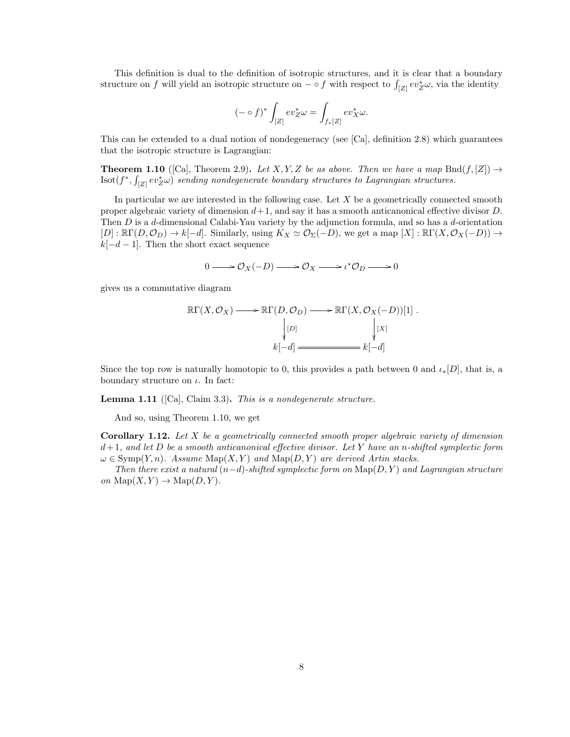This definition is dual to the definition of isotropic structures, and it is clear that a boundary structure on f will yield an isotropic structure on  $-\circ f$  with respect to  $\int_{[Z]} ev_Z^* \omega$ , via the identity

$$
(- \circ f)^* \int_{[Z]} ev_Z^* \omega = \int_{f_*[Z]} ev_X^* \omega.
$$

This can be extended to a dual notion of nondegeneracy (see [Ca], definition 2.8) which guarantees that the isotropic structure is Lagrangian:

**Theorem 1.10** ([Ca], Theorem 2.9). Let X, Y, Z be as above. Then we have a map Bnd $(f, [Z]) \rightarrow$  $\text{Isot}(f^*, \int_{[Z]} \text{ev}_Z^* \omega)$  sending nondegenerate boundary structures to Lagrangian structures.

In particular we are interested in the following case. Let  $X$  be a geometrically connected smooth proper algebraic variety of dimension  $d+1$ , and say it has a smooth anticanonical effective divisor D. Then  $D$  is a d-dimensional Calabi-Yau variety by the adjunction formula, and so has a d-orientation  $[D]: \mathbb{R}\Gamma(D, \mathcal{O}_D) \to k[-d]$ . Similarly, using  $K_X \simeq \mathcal{O}_{\Sigma}(-D)$ , we get a map  $[X]: \mathbb{R}\Gamma(X, \mathcal{O}_X(-D)) \to$  $k[-d-1]$ . Then the short exact sequence

$$
0 \longrightarrow \mathcal{O}_X(-D) \longrightarrow \mathcal{O}_X \longrightarrow \iota^* \mathcal{O}_D \longrightarrow 0
$$

gives us a commutative diagram

$$
\mathbb{R}\Gamma(X,\mathcal{O}_X) \longrightarrow \mathbb{R}\Gamma(D,\mathcal{O}_D) \longrightarrow \mathbb{R}\Gamma(X,\mathcal{O}_X(-D))[1] .
$$
  
\n
$$
\downarrow [D] \qquad \qquad \downarrow [X]
$$
  
\n
$$
k[-d] \longrightarrow [k[-d]
$$

Since the top row is naturally homotopic to 0, this provides a path between 0 and  $\iota_*[D]$ , that is, a boundary structure on  $\iota$ . In fact:

**Lemma 1.11** ([Ca], Claim 3.3). This is a nondegenerate structure.

And so, using Theorem 1.10, we get

**Corollary 1.12.** Let X be a geometrically connected smooth proper algebraic variety of dimension  $d+1$ , and let D be a smooth anticanonical effective divisor. Let Y have an n-shifted symplectic form  $\omega \in \text{Symp}(Y, n)$ . Assume  $\text{Map}(X, Y)$  and  $\text{Map}(D, Y)$  are derived Artin stacks.

Then there exist a natural  $(n-d)$ -shifted symplectic form on  $\text{Map}(D, Y)$  and Lagrangian structure on  $\text{Map}(X, Y) \to \text{Map}(D, Y)$ .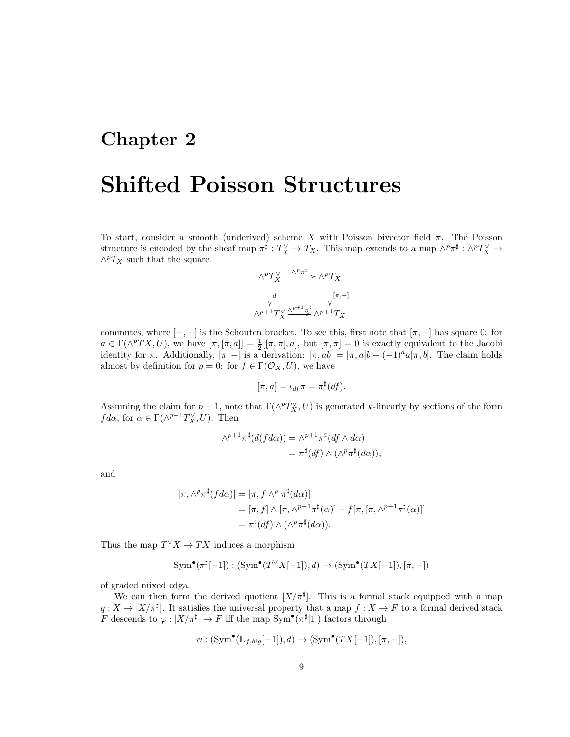### Chapter 2

# Shifted Poisson Structures

To start, consider a smooth (underived) scheme X with Poisson bivector field  $\pi$ . The Poisson structure is encoded by the sheaf map  $\pi^{\sharp}: T_X^{\vee} \to T_X$ . This map extends to a map  $\wedge^p \pi^{\sharp}: \wedge^p T_X^{\vee} \to$  $\wedge^p T_X$  such that the square

$$
\wedge^p T_X^{\vee} \xrightarrow{\wedge^p \pi^{\sharp}} \wedge^p T_X
$$
  
\n
$$
\downarrow d \qquad \qquad \downarrow [\pi, -]
$$
  
\n
$$
\wedge^{p+1} T_X^{\vee} \xrightarrow{\wedge^{p+1} \pi^{\sharp}} \wedge^{p+1} T_X
$$

commutes, where  $[-,-]$  is the Schouten bracket. To see this, first note that  $[\pi,-]$  has square 0: for  $a \in \Gamma(\wedge^p TX, U)$ , we have  $[\pi, [\pi, a]] = \frac{1}{2}[[\pi, \pi], a]$ , but  $[\pi, \pi] = 0$  is exactly equivalent to the Jacobi identity for  $\pi$ . Additionally,  $[\pi, -]$  is a derivation:  $[\pi, ab] = [\pi, a]b + (-1)^{a}a[\pi, b]$ . The claim holds almost by definition for  $p = 0$ : for  $f \in \Gamma(\mathcal{O}_X, U)$ , we have

$$
[\pi, a] = \iota_{df} \pi = \pi^{\sharp}(df).
$$

Assuming the claim for  $p-1$ , note that  $\Gamma(\wedge^p T_X^{\vee}, U)$  is generated k-linearly by sections of the form  $fd\alpha$ , for  $\alpha \in \Gamma(\wedge^{p-1}T_X^{\vee}, U)$ . Then

$$
\begin{aligned} \wedge^{p+1} \pi^{\sharp}(d(fd\alpha)) &= \wedge^{p+1} \pi^{\sharp}(df \wedge d\alpha) \\ &= \pi^{\sharp}(df) \wedge (\wedge^p \pi^{\sharp}(d\alpha)), \end{aligned}
$$

and

$$
[\pi, \wedge^p \pi^{\sharp} (fd\alpha)] = [\pi, f \wedge^p \pi^{\sharp} (d\alpha)]
$$
  
=  $[\pi, f] \wedge [\pi, \wedge^{p-1} \pi^{\sharp}(\alpha)] + f[\pi, [\pi, \wedge^{p-1} \pi^{\sharp}(\alpha)]]$   
=  $\pi^{\sharp} (df) \wedge (\wedge^p \pi^{\sharp} (d\alpha)).$ 

Thus the map  $T^{\vee} X \to TX$  induces a morphism

$$
\operatorname{Sym}^{\bullet}(\pi^{\sharp}[-1]) : (\operatorname{Sym}^{\bullet}(T^{\vee}X[-1]),d) \to (\operatorname{Sym}^{\bullet}(TX[-1]),[\pi,-])
$$

of graded mixed cdga.

We can then form the derived quotient  $[X/\pi^{\sharp}]$ . This is a formal stack equipped with a map  $q: X \to [X/\pi^{\sharp}]$ . It satisfies the universal property that a map  $f: X \to F$  to a formal derived stack F descends to  $\varphi: [X/\pi^{\sharp}] \to F$  iff the map Sym<sup>•</sup>( $\pi^{\sharp}[1]$ ) factors through

$$
\psi: (\mathrm{Sym}^{\bullet}(\mathbb{L}_{f,big}[-1]),d) \to (\mathrm{Sym}^{\bullet}(TX[-1]),[\pi,-]),
$$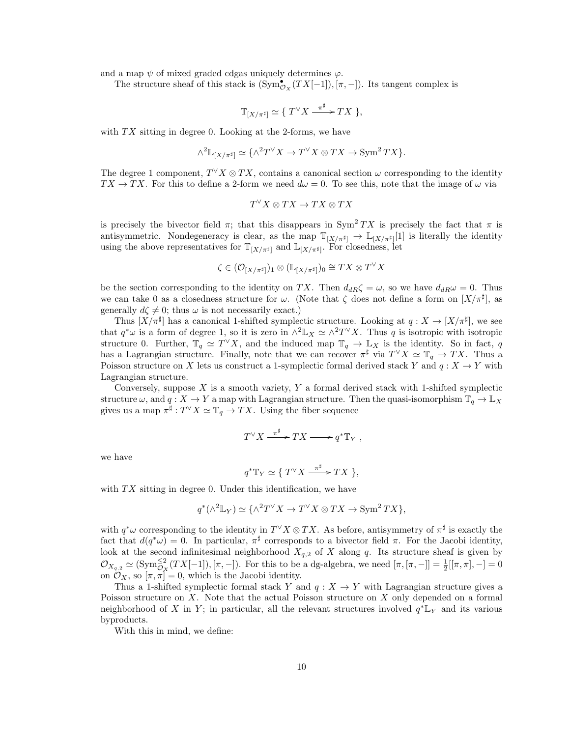and a map  $\psi$  of mixed graded cdgas uniquely determines  $\varphi$ .

The structure sheaf of this stack is  $(\text{Sym}_{\mathcal{O}_X}^{\bullet}(TX[-1]), [\pi, -])$ . Its tangent complex is

$$
\mathbb{T}_{[X/\pi^\sharp]}\simeq \{T^\vee X \xrightarrow{\pi^\sharp} TX\},
$$

with  $TX$  sitting in degree 0. Looking at the 2-forms, we have

$$
\wedge^2 \mathbb{L}_{[X/\pi^\sharp]} \simeq \{ \wedge^2 T^\vee X \to T^\vee X \otimes TX \to \operatorname{Sym}^2 TX \}.
$$

The degree 1 component,  $T^{\vee} X \otimes TX$ , contains a canonical section  $\omega$  corresponding to the identity  $TX \to TX$ . For this to define a 2-form we need  $d\omega = 0$ . To see this, note that the image of  $\omega$  via

$$
T^\vee X \otimes TX \to TX \otimes TX
$$

is precisely the bivector field  $\pi$ ; that this disappears in Sym<sup>2</sup> TX is precisely the fact that  $\pi$  is antisymmetric. Nondegeneracy is clear, as the map  $\mathbb{T}_{[X/\pi^{\sharp}]} \to \mathbb{L}_{[X/\pi^{\sharp}]}[1]$  is literally the identity using the above representatives for  $\mathbb{T}_{[X/\pi^{\sharp}]}$  and  $\mathbb{L}_{[X/\pi^{\sharp}]}$ . For closedness, let

$$
\zeta \in (\mathcal{O}_{[X/\pi^\sharp]})_1 \otimes (\mathbb{L}_{[X/\pi^\sharp]})_0 \cong TX \otimes T^\vee X
$$

be the section corresponding to the identity on TX. Then  $d_{dR}\zeta = \omega$ , so we have  $d_{dR}\omega = 0$ . Thus we can take 0 as a closedness structure for  $\omega$ . (Note that  $\zeta$  does not define a form on  $[X/\pi^{\sharp}]$ , as generally  $d\zeta \neq 0$ ; thus  $\omega$  is not necessarily exact.)

Thus  $[X/\pi^{\sharp}]$  has a canonical 1-shifted symplectic structure. Looking at  $q: X \to [X/\pi^{\sharp}]$ , we see that  $q^*\omega$  is a form of degree 1, so it is zero in  $\wedge^2 \mathbb{L}_X \simeq \wedge^2 T^{\vee} X$ . Thus q is isotropic with isotropic structure 0. Further,  $\mathbb{T}_q \simeq T^{\vee} X$ , and the induced map  $\mathbb{T}_q \to \mathbb{L}_X$  is the identity. So in fact, q has a Lagrangian structure. Finally, note that we can recover  $\pi^{\sharp}$  via  $T^{\vee}X \simeq \mathbb{T}_q \to TX$ . Thus a Poisson structure on X lets us construct a 1-symplectic formal derived stack Y and  $q: X \to Y$  with Lagrangian structure.

Conversely, suppose  $X$  is a smooth variety,  $Y$  a formal derived stack with 1-shifted symplectic structure  $\omega$ , and  $q: X \to Y$  a map with Lagrangian structure. Then the quasi-isomorphism  $\mathbb{T}_q \to \mathbb{L}_X$ gives us a map  $\pi^{\sharp}: T^{\vee} X \simeq \mathbb{T}_q \to TX$ . Using the fiber sequence

$$
T^{\vee} X \xrightarrow{\pi^{\sharp}} TX \longrightarrow q^* \mathbb{T}_Y ,
$$

we have

$$
q^* \mathbb{T}_Y \simeq \{ T^\vee X \xrightarrow{\pi^\sharp} TX \},
$$

with  $TX$  sitting in degree 0. Under this identification, we have

$$
q^*(\wedge^2 \mathbb{L}_Y) \simeq {\{\wedge^2}T^\vee X \to T^\vee X \otimes TX \to \text{Sym}^2 TX},
$$

with  $q^*\omega$  corresponding to the identity in  $T^{\vee}X \otimes TX$ . As before, antisymmetry of  $\pi^{\sharp}$  is exactly the fact that  $d(q^*\omega) = 0$ . In particular,  $\pi^{\sharp}$  corresponds to a bivector field  $\pi$ . For the Jacobi identity, look at the second infinitesimal neighborhood  $X_{q,2}$  of X along q. Its structure sheaf is given by  $\mathcal{O}_{X_{q,2}} \simeq (\text{Sym}_{\mathcal{O}_X}^{\leq 2} (TX[-1]), [\pi, -])$ . For this to be a dg-algebra, we need  $[\pi, [\pi, -]] = \frac{1}{2}[[\pi, \pi], -] = 0$ on  $\mathcal{O}_X$ , so  $[\pi, \pi] = 0$ , which is the Jacobi identity.

Thus a 1-shifted symplectic formal stack Y and  $q: X \to Y$  with Lagrangian structure gives a Poisson structure on X. Note that the actual Poisson structure on X only depended on a formal neighborhood of X in Y; in particular, all the relevant structures involved  $q^* \mathbb{L}_Y$  and its various byproducts.

With this in mind, we define: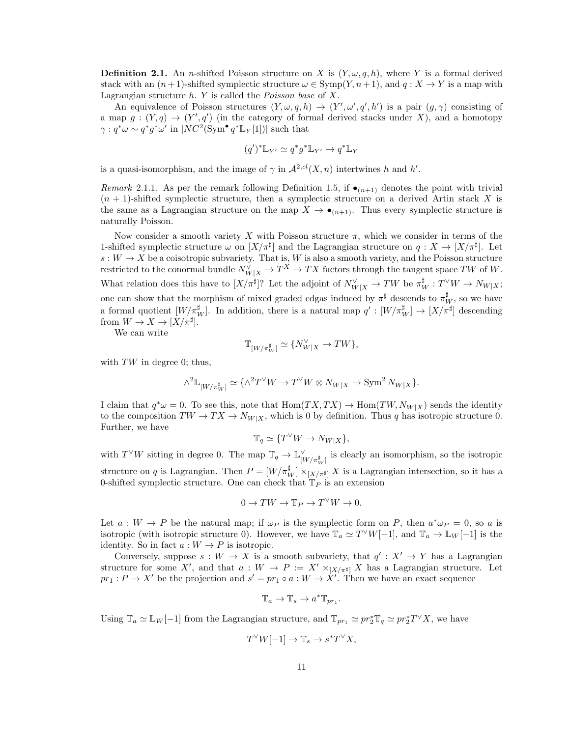**Definition 2.1.** An *n*-shifted Poisson structure on X is  $(Y, \omega, q, h)$ , where Y is a formal derived stack with an  $(n+1)$ -shifted symplectic structure  $\omega \in \text{Symp}(Y, n+1)$ , and  $q: X \to Y$  is a map with Lagrangian structure  $h$ . Y is called the *Poisson base* of X.

An equivalence of Poisson structures  $(Y, \omega, q, h) \rightarrow (Y', \omega', q', h')$  is a pair  $(g, \gamma)$  consisting of a map  $g:(Y,q) \to (Y',q')$  (in the category of formal derived stacks under X), and a homotopy  $\gamma: q^*\omega \sim q^*g^*\omega'$  in  $|NC^2(\mathrm{Sym}^{\bullet} q^*\mathbb{L}_Y[1])|$  such that

$$
(q')^* \mathbb{L}_{Y'} \simeq q^* g^* \mathbb{L}_{Y'} \to q^* \mathbb{L}_Y
$$

is a quasi-isomorphism, and the image of  $\gamma$  in  $\mathcal{A}^{2,cl}(X,n)$  intertwines h and h'.

Remark 2.1.1. As per the remark following Definition 1.5, if  $\bullet_{(n+1)}$  denotes the point with trivial  $(n + 1)$ -shifted symplectic structure, then a symplectic structure on a derived Artin stack X is the same as a Lagrangian structure on the map  $X \to \bullet_{(n+1)}$ . Thus every symplectic structure is naturally Poisson.

Now consider a smooth variety X with Poisson structure  $\pi$ , which we consider in terms of the 1-shifted symplectic structure  $\omega$  on  $[X/\pi^{\sharp}]$  and the Lagrangian structure on  $q: X \to [X/\pi^{\sharp}]$ . Let  $s: W \to X$  be a coisotropic subvariety. That is, W is also a smooth variety, and the Poisson structure restricted to the conormal bundle  $N_{W|X}^{\vee} \to T^X \to TX$  factors through the tangent space TW of W. What relation does this have to  $[X/\pi^{\sharp}]$ ? Let the adjoint of  $N_{W|X}^{\vee} \to TW$  be  $\pi_W^{\sharp}: T^{\vee}W \to N_{W|X}$ ; one can show that the morphism of mixed graded cdgas induced by  $\pi^{\sharp}$  descends to  $\pi^{\sharp}_{W}$ , so we have a formal quotient  $[W/\pi_W^{\sharp}]$ . In addition, there is a natural map  $q' : [W/\pi_W^{\sharp}] \to [X/\pi^{\sharp}]$  descending from  $W \to X \to [X/\pi^{\sharp}].$ 

We can write

$$
\mathbb{T}_{[W/\pi^{\sharp}_W]} \simeq \{N^\vee_{W|X} \to TW\},
$$

with  $TW$  in degree 0; thus,

$$
\wedge^2 \mathbb{L}_{[W/\pi^{\sharp}_W]} \simeq \{ \wedge^2 T^\vee W \to T^\vee W \otimes N_{W|X} \to \operatorname{Sym}^2 N_{W|X} \}.
$$

I claim that  $q^*\omega = 0$ . To see this, note that  $\text{Hom}(TX, TX) \to \text{Hom}(TW, N_{W|X})$  sends the identity to the composition  $TW \to TX \to N_{W|X}$ , which is 0 by definition. Thus q has isotropic structure 0. Further, we have

$$
\mathbb{T}_q \simeq \{ T^\vee W \to N_{W|X} \},
$$

with  $T^{\vee}W$  sitting in degree 0. The map  $\mathbb{T}_q \to \mathbb{L}_{[W/\pi^{\sharp}_W]}^{\vee}$  is clearly an isomorphism, so the isotropic structure on q is Lagrangian. Then  $P = [W/\pi_W^{\sharp}] \times_{[X/\pi^{\sharp}]} X$  is a Lagrangian intersection, so it has a 0-shifted symplectic structure. One can check that  $T_P$  is an extension

$$
0 \to TW \to \mathbb{T}_P \to T^\vee W \to 0.
$$

Let  $a: W \to P$  be the natural map; if  $\omega_P$  is the symplectic form on P, then  $a^*\omega_P = 0$ , so a is isotropic (with isotropic structure 0). However, we have  $\mathbb{T}_a \simeq T^{\vee}W[-1]$ , and  $\mathbb{T}_a \to \mathbb{L}_W[-1]$  is the identity. So in fact  $a: W \to P$  is isotropic.

Conversely, suppose  $s: W \to X$  is a smooth subvariety, that  $q': X' \to Y$  has a Lagrangian structure for some X', and that  $a : W \to P := X' \times_{[X/\pi^{\sharp}]} X$  has a Lagrangian structure. Let  $pr_1: P \to X'$  be the projection and  $s' = pr_1 \circ a: W \to X'$ . Then we have an exact sequence

$$
\mathbb{T}_a \to \mathbb{T}_s \to a^* \mathbb{T}_{pr_1}.
$$

Using  $\mathbb{T}_a \simeq \mathbb{L}_W[-1]$  from the Lagrangian structure, and  $\mathbb{T}_{pr_1} \simeq pr_2^* \mathbb{T}_q \simeq pr_2^* T^\vee X$ , we have

$$
T^{\vee}W[-1] \to \mathbb{T}_s \to s^*T^{\vee}X,
$$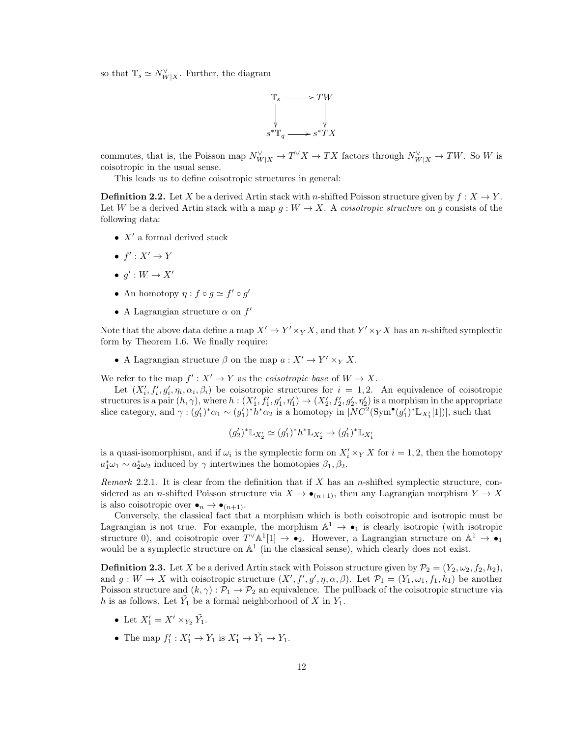so that  $\mathbb{T}_s \simeq N_{W|X}^{\vee}$ . Further, the diagram



commutes, that is, the Poisson map  $N_{W|X}^{\vee} \to T^{\vee} X \to TX$  factors through  $N_{W|X}^{\vee} \to TW$ . So W is coisotropic in the usual sense.

This leads us to define coisotropic structures in general:

**Definition 2.2.** Let X be a derived Artin stack with n-shifted Poisson structure given by  $f: X \to Y$ . Let W be a derived Artin stack with a map  $g: W \to X$ . A *coisotropic structure* on g consists of the following data:

- $X'$  a formal derived stack
- $f': X' \to Y$
- $g': W \to X'$
- An homotopy  $\eta : f \circ g \simeq f' \circ g'$
- A Lagrangian structure  $\alpha$  on  $f'$

Note that the above data define a map  $X' \to Y' \times_Y X$ , and that  $Y' \times_Y X$  has an *n*-shifted symplectic form by Theorem 1.6. We finally require:

• A Lagrangian structure  $\beta$  on the map  $a: X' \to Y' \times_Y X$ .

We refer to the map  $f': X' \to Y$  as the *coisotropic base* of  $W \to X$ .

Let  $(X'_i, f'_i, g'_i, \eta_i, \alpha_i, \beta_i)$  be coisotropic structures for  $i = 1, 2$ . An equivalence of coisotropic structures is a pair  $(h, \gamma)$ , where  $h: (X'_1, f'_1, g'_1, \eta'_1) \to (X'_2, f'_2, g'_2, \eta'_2)$  is a morphism in the appropriate slice category, and  $\gamma: (g_1')^*\alpha_1 \sim (g_1')^*\overline{h^*\alpha_2}$  is a homotopy in  $|NC^2(\mathrm{Sym}^{\bullet}(g_1')^*\mathbb{L}_{X_1'}[1])|$ , such that

$$
(g_2')^* \mathbb{L}_{X_2'} \simeq (g_1')^* h^* \mathbb{L}_{X_2'} \to (g_1')^* \mathbb{L}_{X_1'}
$$

is a quasi-isomorphism, and if  $\omega_i$  is the symplectic form on  $X_i' \times_Y X$  for  $i = 1, 2$ , then the homotopy  $a_1^*\omega_1 \sim a_2^*\omega_2$  induced by  $\gamma$  intertwines the homotopies  $\beta_1, \beta_2$ .

Remark 2.2.1. It is clear from the definition that if  $X$  has an n-shifted symplectic structure, considered as an *n*-shifted Poisson structure via  $X \to \bullet_{(n+1)}$ , then any Lagrangian morphism  $Y \to X$ is also coisotropic over  $\bullet_n \to \bullet_{(n+1)}$ .

Conversely, the classical fact that a morphism which is both coisotropic and isotropic must be Lagrangian is not true. For example, the morphism  $\mathbb{A}^1 \to \bullet_1$  is clearly isotropic (with isotropic structure 0), and coisotropic over  $T^{\vee}\mathbb{A}^1[1] \to \bullet_2$ . However, a Lagrangian structure on  $\mathbb{A}^1 \to \bullet_1$ would be a symplectic structure on  $\mathbb{A}^1$  (in the classical sense), which clearly does not exist.

**Definition 2.3.** Let X be a derived Artin stack with Poisson structure given by  $\mathcal{P}_2 = (Y_2, \omega_2, f_2, h_2)$ , and  $g: W \to X$  with coisotropic structure  $(X', f', g', \eta, \alpha, \beta)$ . Let  $\mathcal{P}_1 = (Y_1, \omega_1, f_1, h_1)$  be another Poisson structure and  $(k, \gamma)$ :  $\mathcal{P}_1 \rightarrow \mathcal{P}_2$  an equivalence. The pullback of the coisotropic structure via h is as follows. Let  $\tilde{Y}_1$  be a formal neighborhood of X in  $Y_1$ .

- Let  $X'_1 = X' \times_{Y_2} \tilde{Y_1}$ .
- The map  $f'_1: X'_1 \to Y_1$  is  $X'_1 \to \tilde{Y_1} \to Y_1$ .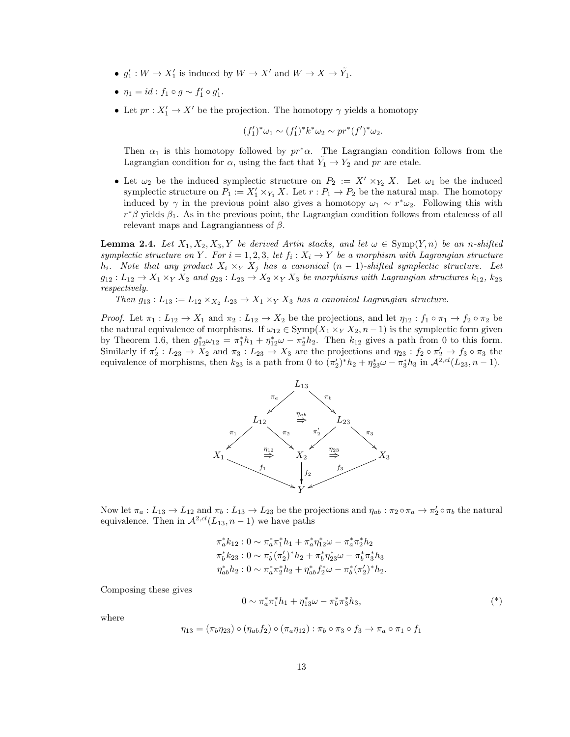- $g'_1: W \to X'_1$  is induced by  $W \to X'$  and  $W \to X \to \tilde{Y}_1$ .
- $\eta_1 = id : f_1 \circ g \sim f'_1 \circ g'_1.$
- Let  $pr: X'_1 \to X'$  be the projection. The homotopy  $\gamma$  yields a homotopy

$$
(f'_1)^*\omega_1 \sim (f'_1)^*k^*\omega_2 \sim pr^*(f')^*\omega_2.
$$

Then  $\alpha_1$  is this homotopy followed by  $pr^*\alpha$ . The Lagrangian condition follows from the Lagrangian condition for  $\alpha$ , using the fact that  $\tilde{Y}_1 \to Y_2$  and pr are etale.

• Let  $\omega_2$  be the induced symplectic structure on  $P_2 := X' \times_{Y_2} X$ . Let  $\omega_1$  be the induced symplectic structure on  $P_1 := X'_1 \times_{Y_1} X$ . Let  $r : P_1 \to P_2$  be the natural map. The homotopy induced by  $\gamma$  in the previous point also gives a homotopy  $\omega_1 \sim r^* \omega_2$ . Following this with  $r^*\beta$  yields  $\beta_1$ . As in the previous point, the Lagrangian condition follows from etaleness of all relevant maps and Lagrangianness of  $\beta$ .

**Lemma 2.4.** Let  $X_1, X_2, X_3, Y$  be derived Artin stacks, and let  $\omega \in \text{Symp}(Y, n)$  be an n-shifted symplectic structure on Y. For  $i = 1, 2, 3$ , let  $f_i : X_i \to Y$  be a morphism with Lagrangian structure h<sub>i</sub>. Note that any product  $X_i \times_Y X_j$  has a canonical  $(n-1)$ -shifted symplectic structure. Let  $g_{12}: L_{12} \to X_1 \times_Y X_2$  and  $g_{23}: L_{23} \to X_2 \times_Y X_3$  be morphisms with Lagrangian structures  $k_{12}$ ,  $k_{23}$ respectively.

Then  $g_{13} : L_{13} := L_{12} \times_{X_2} L_{23} \rightarrow X_1 \times_Y X_3$  has a canonical Lagrangian structure.

*Proof.* Let  $\pi_1: L_{12} \to X_1$  and  $\pi_2: L_{12} \to X_2$  be the projections, and let  $\eta_{12}: f_1 \circ \pi_1 \to f_2 \circ \pi_2$  be the natural equivalence of morphisms. If  $\omega_{12} \in \text{Symp}(X_1 \times_Y X_2, n-1)$  is the symplectic form given by Theorem 1.6, then  $g_{12}^* \omega_{12} = \pi_1^* h_1 + \eta_{12}^* \omega - \pi_2^* h_2$ . Then  $k_{12}$  gives a path from 0 to this form. Similarly if  $\pi'_2: L_{23} \to X_2$  and  $\pi_3: L_{23} \to X_3$  are the projections and  $\eta_{23}: f_2 \circ \pi'_2 \to f_3 \circ \pi_3$  the equivalence of morphisms, then  $k_{23}$  is a path from 0 to  $(\pi'_2)^* h_2 + \eta_{23}^* \omega - \pi_3^* h_3$  in  $\mathcal{A}^{2,cl}(L_{23}, n-1)$ .



Now let  $\pi_a: L_{13} \to L_{12}$  and  $\pi_b: L_{13} \to L_{23}$  be the projections and  $\eta_{ab}: \pi_2 \circ \pi_a \to \pi'_2 \circ \pi_b$  the natural equivalence. Then in  $\mathcal{A}^{2,cl}(L_{13}, n-1)$  we have paths

$$
\begin{aligned}\n\pi_a^* k_{12} : 0 &\sim \pi_a^* \pi_1^* h_1 + \pi_a^* \eta_{12}^* \omega - \pi_a^* \pi_2^* h_2 \\
\pi_b^* k_{23} : 0 &\sim \pi_b^* (\pi_2')^* h_2 + \pi_b^* \eta_{23}^* \omega - \pi_b^* \pi_3^* h_3 \\
\eta_{ab}^* h_2 : 0 &\sim \pi_a^* \pi_2^* h_2 + \eta_{ab}^* f_2^* \omega - \pi_b^* (\pi_2')^* h_2.\n\end{aligned}
$$

Composing these gives

$$
0 \sim \pi_a^* \pi_1^* h_1 + \eta_{13}^* \omega - \pi_b^* \pi_3^* h_3, \tag{*}
$$

where

$$
\eta_{13} = (\pi_b \eta_{23}) \circ (\eta_{ab} f_2) \circ (\pi_a \eta_{12}) : \pi_b \circ \pi_3 \circ f_3 \to \pi_a \circ \pi_1 \circ f_1
$$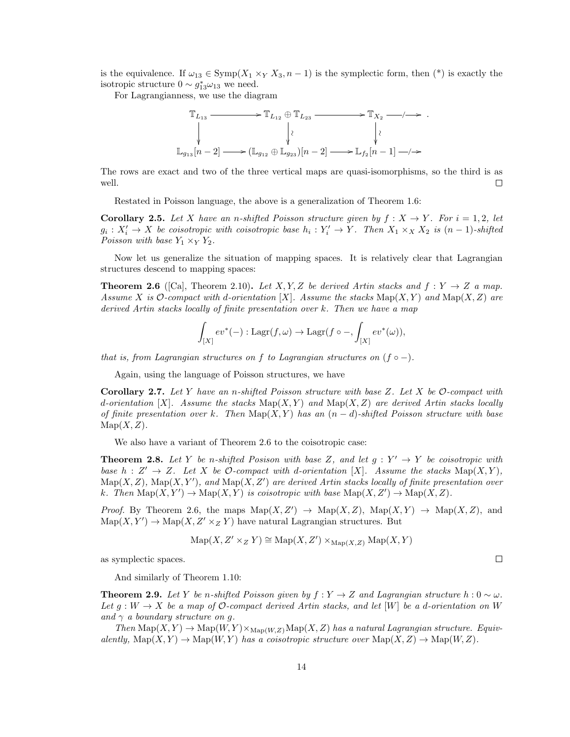is the equivalence. If  $\omega_{13} \in \text{Symp}(X_1 \times_Y X_3, n-1)$  is the symplectic form, then (\*) is exactly the isotropic structure  $0 \sim g_{13}^* \omega_{13}$  we need.

For Lagrangianness, we use the diagram

$$
\mathbb{T}_{L_{13}} \xrightarrow{\qquad \qquad} \mathbb{T}_{L_{12}} \oplus \mathbb{T}_{L_{23}} \xrightarrow{\qquad \qquad} \mathbb{T}_{X_2} \xrightarrow{\qquad \qquad} \cdot \xrightarrow{\qquad \qquad}
$$
\n
$$
\downarrow \qquad \qquad \downarrow \qquad \qquad \downarrow \qquad \qquad \downarrow \qquad \qquad \downarrow
$$
\n
$$
\mathbb{L}_{g_{13}}[n-2] \xrightarrow{\qquad \qquad} (\mathbb{L}_{g_{12}} \oplus \mathbb{L}_{g_{23}})[n-2] \xrightarrow{\qquad \qquad} \mathbb{L}_{f_2}[n-1] \xrightarrow{\qquad \qquad} \cdot \xrightarrow{\qquad \qquad}
$$

The rows are exact and two of the three vertical maps are quasi-isomorphisms, so the third is as well.  $\Box$ 

Restated in Poisson language, the above is a generalization of Theorem 1.6:

**Corollary 2.5.** Let X have an n-shifted Poisson structure given by  $f: X \to Y$ . For  $i = 1, 2$ , let  $g_i: X'_i \to X$  be coisotropic with coisotropic base  $h_i: Y'_i \to Y$ . Then  $X_1 \times_X X_2$  is  $(n-1)$ -shifted Poisson with base  $Y_1 \times_Y Y_2$ .

Now let us generalize the situation of mapping spaces. It is relatively clear that Lagrangian structures descend to mapping spaces:

**Theorem 2.6** ([Ca], Theorem 2.10). Let X, Y, Z be derived Artin stacks and  $f: Y \to Z$  a map. Assume X is O-compact with d-orientation [X]. Assume the stacks  $\text{Map}(X, Y)$  and  $\text{Map}(X, Z)$  are derived Artin stacks locally of finite presentation over k. Then we have a map

$$
\int_{[X]} ev^*(-): \mathrm{Lagr}(f, \omega) \to \mathrm{Lagr}(f \circ -, \int_{[X]} ev^*(\omega)),
$$

that is, from Lagrangian structures on f to Lagrangian structures on  $(f \circ -)$ .

Again, using the language of Poisson structures, we have

**Corollary 2.7.** Let Y have an n-shifted Poisson structure with base Z. Let X be  $\mathcal{O}$ -compact with d-orientation [X]. Assume the stacks  $\text{Map}(X, Y)$  and  $\text{Map}(X, Z)$  are derived Artin stacks locally of finite presentation over k. Then  $\text{Map}(X, Y)$  has an  $(n-d)$ -shifted Poisson structure with base  $\text{Map}(X, Z)$ .

We also have a variant of Theorem 2.6 to the coisotropic case:

**Theorem 2.8.** Let Y be n-shifted Posison with base Z, and let  $g: Y' \to Y$  be coisotropic with base  $h: Z' \to Z$ . Let X be O-compact with d-orientation [X]. Assume the stacks  $\text{Map}(X, Y)$ ,  $\operatorname{Map}(X, Z)$ ,  $\operatorname{Map}(X, Y')$ , and  $\operatorname{Map}(X, Z')$  are derived Artin stacks locally of finite presentation over k. Then  $\text{Map}(X, Y') \to \text{Map}(X, Y)$  is coisotropic with base  $\text{Map}(X, Z') \to \text{Map}(X, Z)$ .

*Proof.* By Theorem 2.6, the maps  $\text{Map}(X, Z') \to \text{Map}(X, Z)$ ,  $\text{Map}(X, Y) \to \text{Map}(X, Z)$ , and  $\mathrm{Map}(X, Y') \to \mathrm{Map}(X, Z' \times_Z Y)$  have natural Lagrangian structures. But

$$
\operatorname{Map}(X, Z' \times_Z Y) \cong \operatorname{Map}(X, Z') \times_{\operatorname{Map}(X, Z)} \operatorname{Map}(X, Y)
$$

as symplectic spaces.

And similarly of Theorem 1.10:

**Theorem 2.9.** Let Y be n-shifted Poisson given by  $f: Y \to Z$  and Lagrangian structure  $h: 0 \sim \omega$ . Let  $g: W \to X$  be a map of O-compact derived Artin stacks, and let [W] be a d-orientation on W and  $\gamma$  a boundary structure on q.

Then  $\mathrm{Map}(X, Y) \to \mathrm{Map}(W, Y) \times_{\mathrm{Map}(W, Z)} \mathrm{Map}(X, Z)$  has a natural Lagrangian structure. Equivalently,  $\text{Map}(X, Y) \to \text{Map}(W, Y)$  has a coisotropic structure over  $\text{Map}(X, Z) \to \text{Map}(W, Z)$ .

 $\Box$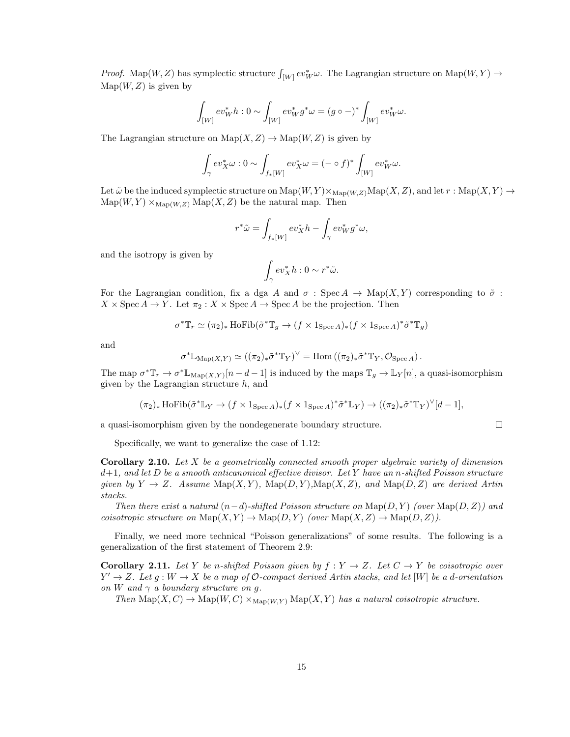Proof. Map $(W, Z)$  has symplectic structure  $\int_{[W]} ev^*_{W} \omega$ . The Lagrangian structure on Map $(W, Y) \rightarrow$  $\text{Map}(W, Z)$  is given by

$$
\int_{[W]} ev^*_{W} h : 0 \sim \int_{[W]} ev^*_{W} g^* \omega = (g \circ -)^* \int_{[W]} ev^*_{W} \omega.
$$

The Lagrangian structure on  $\text{Map}(X, Z) \to \text{Map}(W, Z)$  is given by

$$
\int_{\gamma} ev_X^* \omega : 0 \sim \int_{f_*[W]} ev_X^* \omega = (- \circ f)^* \int_{[W]} ev_W^* \omega.
$$

Let  $\tilde{\omega}$  be the induced symplectic structure on  $\mathrm{Map}(W, Y) \times_{\mathrm{Map}(W, Z)} \mathrm{Map}(X, Z)$ , and let  $r : \mathrm{Map}(X, Y) \to$  $\text{Map}(W, Y) \times_{\text{Map}(W, Z)} \text{Map}(X, Z)$  be the natural map. Then

$$
r^*\tilde\omega=\int_{f_*[W]}ev_X^*h-\int_\gamma ev_W^*g^*\omega,
$$

and the isotropy is given by

$$
\int_\gamma ev_X^*h: 0 \sim r^* \tilde{\omega}.
$$

For the Lagrangian condition, fix a dga A and  $\sigma$ : Spec A  $\rightarrow$  Map(X,Y) corresponding to  $\tilde{\sigma}$ :  $X \times \operatorname{Spec} A \to Y$ . Let  $\pi_2 : X \times \operatorname{Spec} A \to \operatorname{Spec} A$  be the projection. Then

$$
\sigma^*\mathbb{T}_r\simeq (\pi_2)_\ast \operatorname{HoFib}(\tilde{\sigma}^*\mathbb{T}_g\rightarrow (f\times 1_{\operatorname{Spec} A})_\ast (f\times 1_{\operatorname{Spec} A})^\ast \tilde{\sigma}^*\mathbb{T}_g)
$$

and

$$
\sigma^* \mathbb{L}_{\mathrm{Map}(X,Y)} \simeq ((\pi_2)_* \tilde{\sigma}^* \mathbb{T}_Y)^{\vee} = \mathrm{Hom}((\pi_2)_* \tilde{\sigma}^* \mathbb{T}_Y, \mathcal{O}_{\mathrm{Spec}\, A}).
$$

The map  $\sigma^* \mathbb{T}_r \to \sigma^* \mathbb{L}_{\mathrm{Map}(X,Y)}[n-d-1]$  is induced by the maps  $\mathbb{T}_g \to \mathbb{L}_Y[n]$ , a quasi-isomorphism given by the Lagrangian structure  $h$ , and

$$
(\pi_2)_* \text{HoFib}(\tilde{\sigma}^* \mathbb{L}_Y \to (f \times 1_{\text{Spec } A})_* (f \times 1_{\text{Spec } A})^* \tilde{\sigma}^* \mathbb{L}_Y) \to ((\pi_2)_* \tilde{\sigma}^* \mathbb{T}_Y)^{\vee} [d-1],
$$

 $\Box$ 

a quasi-isomorphism given by the nondegenerate boundary structure.

Specifically, we want to generalize the case of 1.12:

**Corollary 2.10.** Let X be a geometrically connected smooth proper algebraic variety of dimension  $d+1$ , and let D be a smooth anticanonical effective divisor. Let Y have an n-shifted Poisson structure given by  $Y \to Z$ . Assume  $\text{Map}(X, Y)$ ,  $\text{Map}(D, Y)$ ,  $\text{Map}(X, Z)$ , and  $\text{Map}(D, Z)$  are derived Artin stacks.

Then there exist a natural  $(n-d)$ -shifted Poisson structure on  $\text{Map}(D, Y)$  (over  $\text{Map}(D, Z)$ ) and coisotropic structure on  $\text{Map}(X, Y) \to \text{Map}(D, Y)$  (over  $\text{Map}(X, Z) \to \text{Map}(D, Z)$ ).

Finally, we need more technical "Poisson generalizations" of some results. The following is a generalization of the first statement of Theorem 2.9:

**Corollary 2.11.** Let Y be n-shifted Poisson given by  $f: Y \to Z$ . Let  $C \to Y$  be coisotropic over  $Y' \to Z$ . Let  $g: W \to X$  be a map of O-compact derived Artin stacks, and let [W] be a d-orientation on W and  $\gamma$  a boundary structure on g.

Then  $\text{Map}(X, C) \to \text{Map}(W, C) \times_{\text{Map}(W, Y)} \text{Map}(X, Y)$  has a natural coisotropic structure.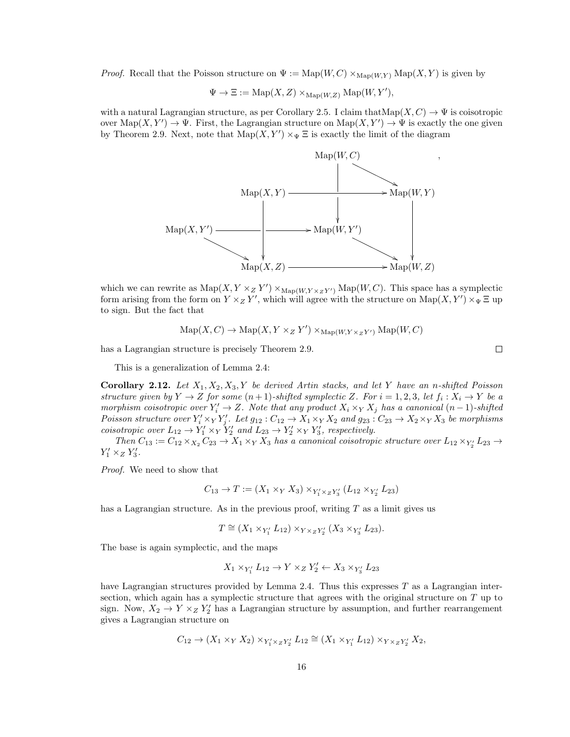*Proof.* Recall that the Poisson structure on  $\Psi := \text{Map}(W, C) \times_{\text{Map}(W, Y)} \text{Map}(X, Y)$  is given by

$$
\Psi \to \Xi := \mathrm{Map}(X, Z) \times_{\mathrm{Map}(W, Z)} \mathrm{Map}(W, Y'),
$$

with a natural Lagrangian structure, as per Corollary 2.5. I claim that  $\text{Map}(X, C) \to \Psi$  is coisotropic over  $\text{Map}(X, Y') \to \Psi$ . First, the Lagrangian structure on  $\text{Map}(X, Y') \to \Psi$  is exactly the one given by Theorem 2.9. Next, note that  $\text{Map}(X, Y') \times_{\Psi} \Xi$  is exactly the limit of the diagram



which we can rewrite as  $\text{Map}(X, Y \times_Z Y') \times_{\text{Map}(W, Y \times_Z Y')} \text{Map}(W, C)$ . This space has a symplectic form arising from the form on  $Y \times_Z Y'$ , which will agree with the structure on  $\text{Map}(X, Y') \times_{\Psi} \Xi$  up to sign. But the fact that

$$
\mathrm{Map}(X, C) \to \mathrm{Map}(X, Y \times_Z Y') \times_{\mathrm{Map}(W, Y \times_Z Y')} \mathrm{Map}(W, C)
$$

has a Lagrangian structure is precisely Theorem 2.9.

This is a generalization of Lemma 2.4:

Corollary 2.12. Let  $X_1, X_2, X_3, Y$  be derived Artin stacks, and let Y have an n-shifted Poisson structure given by  $Y \to Z$  for some  $(n+1)$ -shifted symplectic Z. For  $i = 1, 2, 3$ , let  $f_i : X_i \to Y$  be a morphism coisotropic over  $Y_i' \to Z$ . Note that any product  $X_i \times_Y X_j$  has a canonical  $(n-1)$ -shifted Poisson structure over  $Y'_i \times_Y Y'_j$ . Let  $g_{12}: C_{12} \to X_1 \times_Y X_2$  and  $g_{23}: C_{23} \to X_2 \times_Y X_3$  be morphisms coisotropic over  $L_{12} \to Y_1' \times_Y Y_2'$  and  $L_{23} \to Y_2' \times_Y Y_3'$ , respectively.

Then  $C_{13} := C_{12} \times_{X_2} C_{23} \to X_1 \times_Y X_3$  has a canonical coisotropic structure over  $L_{12} \times_{Y_2} L_{23} \to$  $Y'_1 \times_Z Y'_3$ .

Proof. We need to show that

$$
C_{13} \to T := (X_1 \times_Y X_3) \times_{Y_1' \times_Z Y_3'} (L_{12} \times_{Y_2'} L_{23})
$$

has a Lagrangian structure. As in the previous proof, writing  $T$  as a limit gives us

$$
T \cong (X_1 \times_{Y'_1} L_{12}) \times_{Y \times_Z Y'_2} (X_3 \times_{Y'_3} L_{23}).
$$

The base is again symplectic, and the maps

$$
X_1 \times_{Y'_1} L_{12} \rightarrow Y \times_Z Y'_2 \leftarrow X_3 \times_{Y'_3} L_{23}
$$

have Lagrangian structures provided by Lemma 2.4. Thus this expresses  $T$  as a Lagrangian intersection, which again has a symplectic structure that agrees with the original structure on T up to sign. Now,  $X_2 \to Y \times_Z Y_2'$  has a Lagrangian structure by assumption, and further rearrangement gives a Lagrangian structure on

$$
C_{12}\rightarrow (X_1\times_Y X_2)\times_{Y'_1\times_Z Y'_2} L_{12}\cong (X_1\times_{Y'_1} L_{12})\times_{Y\times_Z Y'_2} X_2,
$$

 $\Box$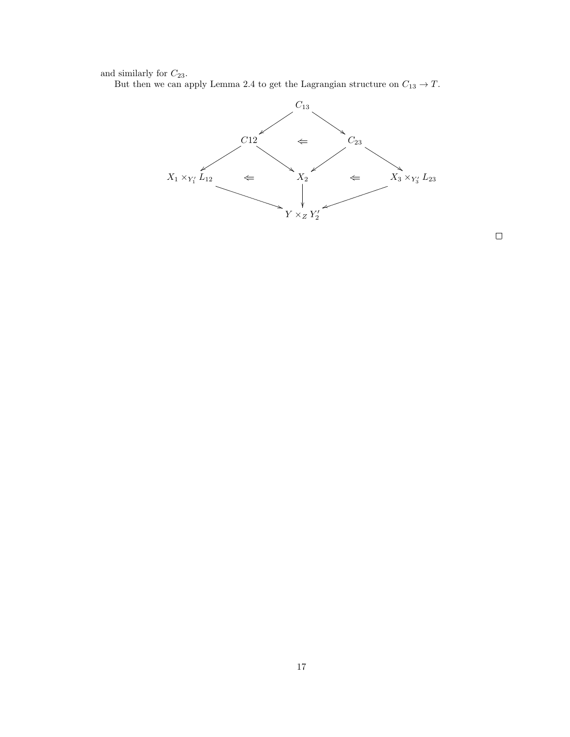and similarly for  $C_{23}$ .

But then we can apply Lemma 2.4 to get the Lagrangian structure on  $C_{13} \rightarrow T$ .



 $\Box$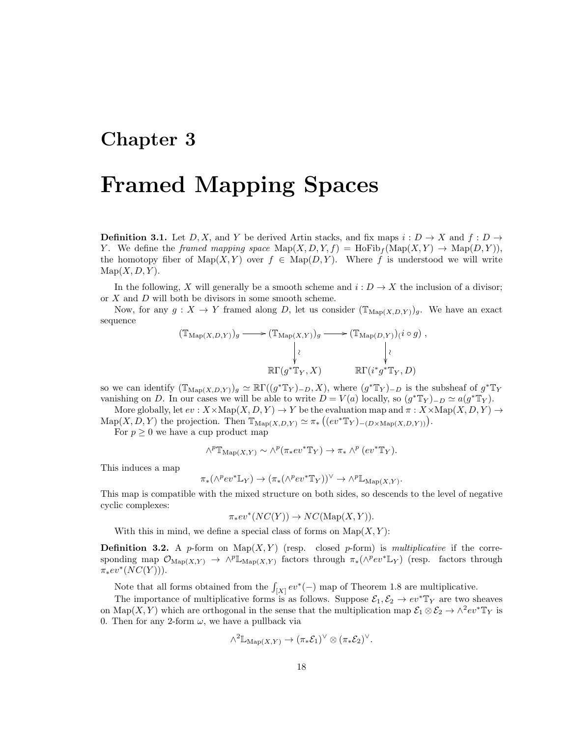### Chapter 3

## Framed Mapping Spaces

**Definition 3.1.** Let D, X, and Y be derived Artin stacks, and fix maps  $i: D \to X$  and  $f: D \to Y$ Y. We define the framed mapping space  $\text{Map}(X, D, Y, f) = \text{HoFib}_f(\text{Map}(X, Y) \to \text{Map}(D, Y)),$ the homotopy fiber of Map(X, Y) over  $f \in \text{Map}(D, Y)$ . Where f is understood we will write  $\text{Map}(X, D, Y)$ .

In the following, X will generally be a smooth scheme and  $i: D \to X$  the inclusion of a divisor; or X and D will both be divisors in some smooth scheme.

Now, for any  $g: X \to Y$  framed along D, let us consider  $(\mathbb{T}_{\mathrm{Map}(X,D,Y)})_g$ . We have an exact sequence

$$
(\mathbb{T}_{\mathrm{Map}(X,D,Y)})_g \longrightarrow (\mathbb{T}_{\mathrm{Map}(X,Y)})_g \longrightarrow (\mathbb{T}_{\mathrm{Map}(D,Y)})_i i \circ g),
$$
  
\n
$$
\downarrow \qquad \qquad \downarrow \qquad \qquad \downarrow
$$
  
\n
$$
\mathbb{R}\Gamma(g^*\mathbb{T}_Y,X) \qquad \mathbb{R}\Gamma(i^*g^*\mathbb{T}_Y,D)
$$

so we can identify  $(\mathbb{T}_{\mathrm{Map}(X,D,Y)})_g \simeq \mathbb{R}\Gamma((g^*\mathbb{T}_Y)_{-D},X)$ , where  $(g^*\mathbb{T}_Y)_{-D}$  is the subsheaf of  $g^*\mathbb{T}_Y$ vanishing on D. In our cases we will be able to write  $D = V(a)$  locally, so  $(g^* \mathbb{T}_Y)_{-D} \simeq a(g^* \mathbb{T}_Y)$ .

More globally, let  $ev : X \times \text{Map}(X, D, Y) \to Y$  be the evaluation map and  $\pi : X \times \text{Map}(X, D, Y) \to Y$  $\mathrm{Map}(X, D, Y)$  the projection. Then  $\mathbb{T}_{\mathrm{Map}(X, D, Y)} \simeq \pi_* ((ev^* \mathbb{T}_Y)_{-(D \times \mathrm{Map}(X, D, Y))}).$ 

For  $p \geq 0$  we have a cup product map

$$
\wedge^p \mathbb{T}_{\mathrm{Map}(X,Y)} \sim \wedge^p (\pi_* ev^* \mathbb{T}_Y) \to \pi_* \wedge^p (ev^* \mathbb{T}_Y).
$$

This induces a map

$$
\pi_*(\wedge^p ev^* \mathbb{L}_Y) \to (\pi_*(\wedge^p ev^* \mathbb{T}_Y))^{\vee} \to \wedge^p \mathbb{L}_{\mathrm{Map}(X,Y)}.
$$

This map is compatible with the mixed structure on both sides, so descends to the level of negative cyclic complexes:

 $\pi_*ev^*(NC(Y)) \to NC(\mathrm{Map}(X,Y)).$ 

With this in mind, we define a special class of forms on  $\text{Map}(X, Y)$ :

**Definition 3.2.** A p-form on  $\text{Map}(X, Y)$  (resp. closed p-form) is multiplicative if the corresponding map  $\mathcal{O}_{\mathrm{Map}(X,Y)} \to \wedge^p \mathbb{L}_{\mathrm{Map}(X,Y)}$  factors through  $\pi_*(\wedge^p ev^* \mathbb{L}_Y)$  (resp. factors through  $\pi_* ev^*(NC(Y))$ ).

Note that all forms obtained from the  $\int_{[X]} ev^*(-)$  map of Theorem 1.8 are multiplicative.

The importance of multiplicative forms is as follows. Suppose  $\mathcal{E}_1, \mathcal{E}_2 \to ev^* \mathbb{T}_Y$  are two sheaves on Map $(X, Y)$  which are orthogonal in the sense that the multiplication map  $\mathcal{E}_1 \otimes \mathcal{E}_2 \to \wedge^2 ev^* \mathbb{T}_Y$  is 0. Then for any 2-form  $\omega$ , we have a pullback via

$$
\wedge^2 \mathbb{L}_{\mathrm{Map}(X,Y)} \to (\pi_* \mathcal{E}_1)^{\vee} \otimes (\pi_* \mathcal{E}_2)^{\vee}.
$$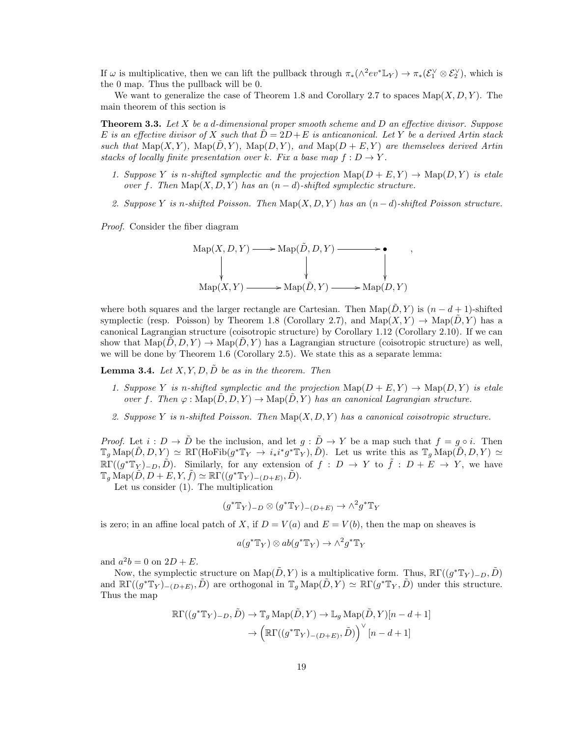If  $\omega$  is multiplicative, then we can lift the pullback through  $\pi_*(\wedge^2 ev^* \mathbb{L}_Y) \to \pi_*(\mathcal{E}_1^{\vee} \otimes \mathcal{E}_2^{\vee}),$  which is the 0 map. Thus the pullback will be 0.

We want to generalize the case of Theorem 1.8 and Corollary 2.7 to spaces  $\text{Map}(X, D, Y)$ . The main theorem of this section is

**Theorem 3.3.** Let X be a d-dimensional proper smooth scheme and D an effective divisor. Suppose E is an effective divisor of X such that  $D = 2D + E$  is anticanonical. Let Y be a derived Artin stack such that  $\text{Map}(X, Y)$ ,  $\text{Map}(\bar{D}, Y)$ ,  $\text{Map}(D, Y)$ , and  $\text{Map}(D + E, Y)$  are themselves derived Artin stacks of locally finite presentation over k. Fix a base map  $f: D \to Y$ .

- 1. Suppose Y is n-shifted symplectic and the projection  $\text{Map}(D + E, Y) \to \text{Map}(D, Y)$  is etale over f. Then  $\text{Map}(X, D, Y)$  has an  $(n-d)$ -shifted symplectic structure.
- 2. Suppose Y is n-shifted Poisson. Then  $\text{Map}(X, D, Y)$  has an  $(n-d)$ -shifted Poisson structure.

,

Proof. Consider the fiber diagram

$$
Map(X, D, Y) \longrightarrow Map(\tilde{D}, D, Y) \longrightarrow \bullet
$$
  
\n
$$
\downarrow \qquad \qquad \downarrow \qquad \qquad \downarrow
$$
  
\n
$$
Map(X, Y) \longrightarrow Map(\tilde{D}, Y) \longrightarrow Map(D, Y)
$$

where both squares and the larger rectangle are Cartesian. Then Map( $\tilde{D}$ , Y) is  $(n - d + 1)$ -shifted symplectic (resp. Poisson) by Theorem 1.8 (Corollary 2.7), and  $\text{Map}(X, Y) \to \text{Map}(D, Y)$  has a canonical Lagrangian structure (coisotropic structure) by Corollary 1.12 (Corollary 2.10). If we can show that  $\text{Map}(D, D, Y) \to \text{Map}(D, Y)$  has a Lagrangian structure (coisotropic structure) as well, we will be done by Theorem 1.6 (Corollary 2.5). We state this as a separate lemma:

**Lemma 3.4.** Let  $X, Y, D, \tilde{D}$  be as in the theorem. Then

- 1. Suppose Y is n-shifted symplectic and the projection  $\text{Map}(D + E, Y) \to \text{Map}(D, Y)$  is etale over f. Then  $\varphi : \text{Map}(\tilde{D}, D, Y) \to \text{Map}(\tilde{D}, Y)$  has an canonical Lagrangian structure.
- 2. Suppose Y is n-shifted Poisson. Then  $\text{Map}(X, D, Y)$  has a canonical coisotropic structure.

*Proof.* Let  $i : D \to \tilde{D}$  be the inclusion, and let  $g : \tilde{D} \to Y$  be a map such that  $f = g \circ i$ . Then  $\mathbb{T}_g \operatorname{Map}(\tilde{D}, D, Y) \simeq \mathbb{R}\Gamma(\operatorname{HoFib}(g^*\mathbb{T}_Y \to i_*i^*g^*\mathbb{T}_Y), \tilde{D}).$  Let us write this as  $\mathbb{T}_g \operatorname{Map}(\tilde{D}, D, Y) \simeq$  $\mathbb{R}\Gamma((g^*\mathbb{T}_Y)_{-D}, \tilde{D})$ . Similarly, for any extension of  $f: D \to Y$  to  $\tilde{f}: D + E \to Y$ , we have  $\mathbb{T}_g \operatorname{Map}(\tilde{D}, D + E, Y, \tilde{f}) \simeq \mathbb{R}\Gamma((g^*\mathbb{T}_Y)_{-(D+E)}, \tilde{D}).$ 

Let us consider (1). The multiplication

$$
(g^* \mathbb{T}_Y)_{-D} \otimes (g^* \mathbb{T}_Y)_{-(D+E)} \to \wedge^2 g^* \mathbb{T}_Y
$$

is zero; in an affine local patch of X, if  $D = V(a)$  and  $E = V(b)$ , then the map on sheaves is

$$
a(g^* \mathbb{T}_Y) \otimes ab(g^* \mathbb{T}_Y) \to \wedge^2 g^* \mathbb{T}_Y
$$

and  $a^2b = 0$  on  $2D + E$ .

Now, the symplectic structure on  $\text{Map}(\tilde{D}, Y)$  is a multiplicative form. Thus,  $\mathbb{R}\Gamma((g^*\mathbb{T}_Y)_{-D}, \tilde{D})$ and  $\mathbb{R}\Gamma((g^*\mathbb{T}_Y)_{-(D+E)}, \tilde{D})$  are orthogonal in  $\mathbb{T}_g \text{Map}(\tilde{D}, Y) \simeq \mathbb{R}\Gamma(g^*\mathbb{T}_Y, \tilde{D})$  under this structure. Thus the map

$$
\mathbb{R}\Gamma((g^*\mathbb{T}_Y)_{-D}, \tilde{D}) \to \mathbb{T}_g \operatorname{Map}(\tilde{D}, Y) \to \mathbb{L}_g \operatorname{Map}(\tilde{D}, Y)[n - d + 1]
$$

$$
\to \left(\mathbb{R}\Gamma((g^*\mathbb{T}_Y)_{-(D+E)}, \tilde{D})\right)^\vee [n - d + 1]
$$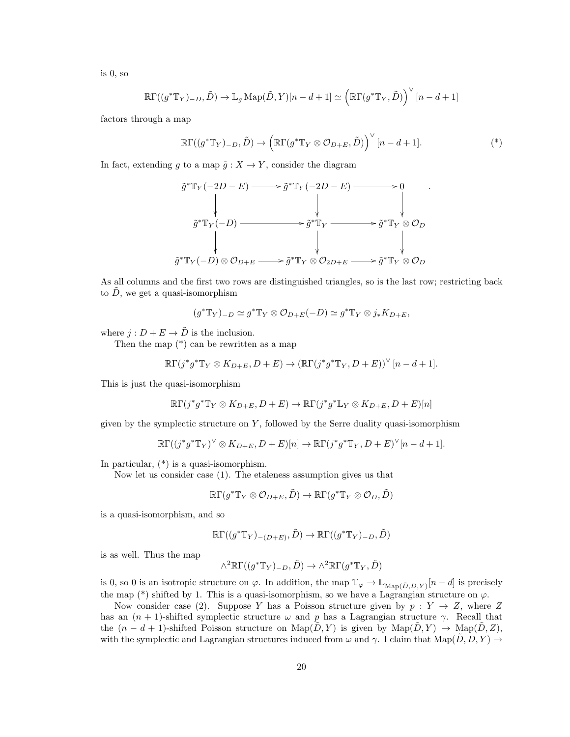is 0, so

$$
\mathbb{R}\Gamma((g^*\mathbb{T}_Y)_{-D}, \tilde{D}) \to \mathbb{L}_g \operatorname{Map}(\tilde{D}, Y)[n-d+1] \simeq \left(\mathbb{R}\Gamma(g^*\mathbb{T}_Y, \tilde{D})\right)^\vee [n-d+1]
$$

factors through a map

$$
\mathbb{R}\Gamma((g^*\mathbb{T}_Y)_{-D},\tilde{D})\to \left(\mathbb{R}\Gamma(g^*\mathbb{T}_Y\otimes\mathcal{O}_{D+E},\tilde{D})\right)^\vee[n-d+1].\tag{*}
$$

.

In fact, extending g to a map  $\tilde{g}: X \to Y$ , consider the diagram

$$
\tilde{g}^* \mathbb{T}_Y(-2D - E) \longrightarrow \tilde{g}^* \mathbb{T}_Y(-2D - E) \longrightarrow 0
$$
\n
$$
\downarrow \qquad \qquad \downarrow \qquad \qquad \downarrow
$$
\n
$$
\tilde{g}^* \mathbb{T}_Y(-D) \longrightarrow \tilde{g}^* \mathbb{T}_Y \longrightarrow \tilde{g}^* \mathbb{T}_Y \otimes \mathcal{O}_D
$$
\n
$$
\downarrow \qquad \qquad \downarrow
$$
\n
$$
\tilde{g}^* \mathbb{T}_Y(-D) \otimes \mathcal{O}_{D+E} \longrightarrow \tilde{g}^* \mathbb{T}_Y \otimes \mathcal{O}_{2D+E} \longrightarrow \tilde{g}^* \mathbb{T}_Y \otimes \mathcal{O}_D
$$

As all columns and the first two rows are distinguished triangles, so is the last row; restricting back to  $\tilde{D}$ , we get a quasi-isomorphism

$$
(g^* \mathbb{T}_Y)_{-D} \simeq g^* \mathbb{T}_Y \otimes \mathcal{O}_{D+E}(-D) \simeq g^* \mathbb{T}_Y \otimes j_* K_{D+E},
$$

where  $j: D + E \rightarrow \tilde{D}$  is the inclusion.

Then the map  $(*)$  can be rewritten as a map

$$
\mathbb{R}\Gamma(j^*g^*\mathbb{T}_Y\otimes K_{D+E}, D+E)\to (\mathbb{R}\Gamma(j^*g^*\mathbb{T}_Y, D+E))^\vee [n-d+1].
$$

This is just the quasi-isomorphism

$$
\mathbb{R}\Gamma(j^*g^*\mathbb{T}_Y\otimes K_{D+E}, D+E)\to \mathbb{R}\Gamma(j^*g^*\mathbb{L}_Y\otimes K_{D+E}, D+E)[n]
$$

given by the symplectic structure on  $Y$ , followed by the Serre duality quasi-isomorphism

$$
\mathbb{R}\Gamma((j^*g^*\mathbb{T}_Y)^\vee\otimes K_{D+E}, D+E)[n] \to \mathbb{R}\Gamma(j^*g^*\mathbb{T}_Y, D+E)^\vee[n-d+1].
$$

In particular, (\*) is a quasi-isomorphism.

Now let us consider case (1). The etaleness assumption gives us that

$$
\R\Gamma(g^*\mathbb{T}_Y\otimes\mathcal{O}_{D+E}, \tilde{D})\to \R\Gamma(g^*\mathbb{T}_Y\otimes\mathcal{O}_D, \tilde{D})
$$

is a quasi-isomorphism, and so

$$
\mathbb{R}\Gamma((g^*\mathbb{T}_Y)_{-(D+E)},\tilde{D})\to \mathbb{R}\Gamma((g^*\mathbb{T}_Y)_{-D},\tilde{D})
$$

is as well. Thus the map

$$
\wedge^2 \mathbb{R}\Gamma((g^* \mathbb{T}_Y)_{-D}, \tilde{D}) \to \wedge^2 \mathbb{R}\Gamma(g^* \mathbb{T}_Y, \tilde{D})
$$

is 0, so 0 is an isotropic structure on  $\varphi$ . In addition, the map  $\mathbb{T}_{\varphi} \to \mathbb{L}_{Map(\tilde{D},D,Y)}[n-d]$  is precisely the map (\*) shifted by 1. This is a quasi-isomorphism, so we have a Lagrangian structure on  $\varphi$ .

Now consider case (2). Suppose Y has a Poisson structure given by  $p : Y \to Z$ , where Z has an  $(n + 1)$ -shifted symplectic structure  $\omega$  and p has a Lagrangian structure  $\gamma$ . Recall that the  $(n - d + 1)$ -shifted Poisson structure on Map $(D, Y)$  is given by Map $(D, Y) \rightarrow \text{Map}(D, Z)$ , with the symplectic and Lagrangian structures induced from  $\omega$  and  $\gamma$ . I claim that  $\text{Map}(\tilde{D}, D, Y) \to$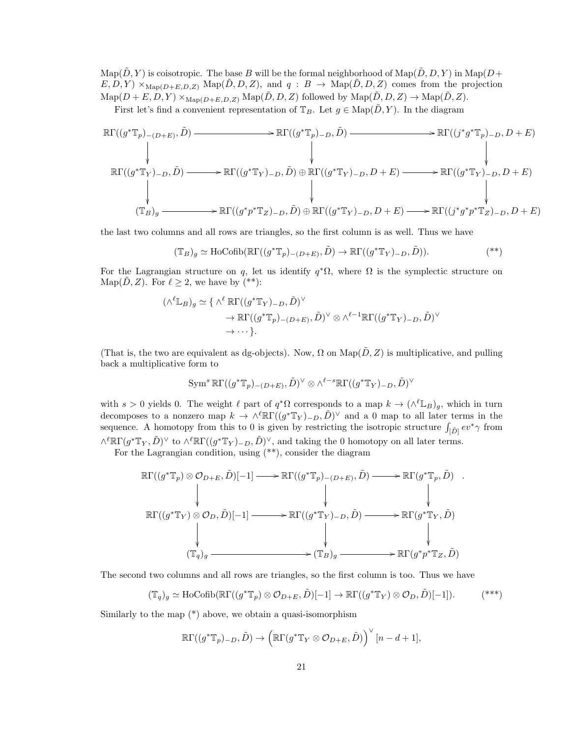$\text{Map}(\tilde{D}, Y)$  is coisotropic. The base B will be the formal neighborhood of  $\text{Map}(\tilde{D}, D, Y)$  in  $\text{Map}(D + Y)$  $E, D, Y) \times_{\text{Map}(D+E, D, Z)} \text{Map}(\tilde{D}, D, Z)$ , and  $q : B \to \text{Map}(\tilde{D}, D, Z)$  comes from the projection  $\text{Map}(D + E, D, Y) \times_{\text{Map}(D + E, D, Z)} \text{Map}(\tilde{D}, D, Z)$  followed by  $\text{Map}(\tilde{D}, D, Z) \to \text{Map}(\tilde{D}, Z)$ .

First let's find a convenient representation of  $\mathbb{T}_B$ . Let  $g \in \text{Map}(\tilde{D}, Y)$ . In the diagram

$$
\mathbb{R}\Gamma((g^*\mathbb{T}_p)_{-(D+E)},\tilde{D}) \longrightarrow \mathbb{R}\Gamma((g^*\mathbb{T}_p)_{-D},\tilde{D}) \longrightarrow \mathbb{R}\Gamma((g^*\mathbb{T}_p)_{-D},D+E)
$$
\n
$$
\downarrow \qquad \qquad \downarrow \qquad \qquad \downarrow
$$
\n
$$
\mathbb{R}\Gamma((g^*\mathbb{T}_Y)_{-D},\tilde{D}) \longrightarrow \mathbb{R}\Gamma((g^*\mathbb{T}_Y)_{-D},\tilde{D}) \oplus \mathbb{R}\Gamma((g^*\mathbb{T}_Y)_{-D},D+E) \longrightarrow \mathbb{R}\Gamma((g^*\mathbb{T}_Y)_{-D},D+E)
$$
\n
$$
\downarrow \qquad \qquad \downarrow
$$
\n
$$
(\mathbb{T}_B)_g \longrightarrow \mathbb{R}\Gamma((g^*p^*\mathbb{T}_Z)_{-D},\tilde{D}) \oplus \mathbb{R}\Gamma((g^*\mathbb{T}_Y)_{-D},D+E) \longrightarrow \mathbb{R}\Gamma((j^*g^*p^*\mathbb{T}_Z)_{-D},D+E)
$$

the last two columns and all rows are triangles, so the first column is as well. Thus we have

$$
(\mathbb{T}_B)_g \simeq \text{HoCofib}(\mathbb{R}\Gamma((g^*\mathbb{T}_p)_{-(D+E)}, \tilde{D}) \to \mathbb{R}\Gamma((g^*\mathbb{T}_Y)_{-D}, \tilde{D})).
$$

For the Lagrangian structure on q, let us identify  $q^*\Omega$ , where  $\Omega$  is the symplectic structure on Map(D, Z). For  $\ell \geq 2$ , we have by (\*\*):

$$
(\wedge^{\ell} \mathbb{L}_B)_g \simeq \{ \wedge^{\ell} \mathbb{R}\Gamma((g^* \mathbb{T}_Y)_{-D}, \tilde{D})^{\vee} \to \mathbb{R}\Gamma((g^* \mathbb{T}_p)_{-(D+E)}, \tilde{D})^{\vee} \otimes \wedge^{\ell-1} \mathbb{R}\Gamma((g^* \mathbb{T}_Y)_{-D}, \tilde{D})^{\vee} \to \cdots \}.
$$

(That is, the two are equivalent as dg-objects). Now,  $\Omega$  on  $\text{Map}(\tilde{D}, Z)$  is multiplicative, and pulling back a multiplicative form to

$$
\operatorname{Sym}^s \R\Gamma((g^*\mathbb{T}_p)_{-(D+E)}, \tilde{D})^{\vee} \otimes \wedge^{\ell-s} \R\Gamma((g^*\mathbb{T}_Y)_{-D}, \tilde{D})^{\vee}
$$

with  $s > 0$  yields 0. The weight  $\ell$  part of  $q^*\Omega$  corresponds to a map  $k \to (\wedge^{\ell} \mathbb{L}_B)_{g}$ , which in turn decomposes to a nonzero map  $k \to \wedge^{\ell} \mathbb{R} \Gamma((g^* \mathbb{T}_Y)_{-D}, \tilde{D})^{\vee}$  and a 0 map to all later terms in the sequence. A homotopy from this to 0 is given by restricting the isotropic structure  $\int_{[\tilde{D}]} ev^* \gamma$  from  $\wedge^{\ell} \mathbb{R}\Gamma(g^* \mathbb{T}_Y, \tilde{D})^{\vee}$  to  $\wedge^{\ell} \mathbb{R}\Gamma((g^* \mathbb{T}_Y)_{-D}, \tilde{D})^{\vee}$ , and taking the 0 homotopy on all later terms.

For the Lagrangian condition, using (\*\*), consider the diagram

$$
\mathbb{R}\Gamma((g^*\mathbb{T}_p)\otimes\mathcal{O}_{D+E},\tilde{D})[-1] \longrightarrow \mathbb{R}\Gamma((g^*\mathbb{T}_p)_{-(D+E)},\tilde{D}) \longrightarrow \mathbb{R}\Gamma(g^*\mathbb{T}_p,\tilde{D})
$$
  
\n
$$
\downarrow \qquad \qquad \downarrow \qquad \qquad \downarrow
$$
  
\n
$$
\mathbb{R}\Gamma((g^*\mathbb{T}_Y)\otimes\mathcal{O}_D,\tilde{D})[-1] \longrightarrow \mathbb{R}\Gamma((g^*\mathbb{T}_Y)_{-D},\tilde{D}) \longrightarrow \mathbb{R}\Gamma(g^*\mathbb{T}_Y,\tilde{D})
$$
  
\n
$$
\downarrow \qquad \qquad \downarrow
$$
  
\n
$$
(\mathbb{T}_q)_g \longrightarrow (\mathbb{T}_B)_g \longrightarrow \mathbb{R}\Gamma(g^*p^*\mathbb{T}_Z,\tilde{D})
$$

The second two columns and all rows are triangles, so the first column is too. Thus we have

$$
(\mathbb{T}_q)_g \simeq \text{HoCofib}(\mathbb{R}\Gamma((g^*\mathbb{T}_p) \otimes \mathcal{O}_{D+E}, \tilde{D})[-1] \to \mathbb{R}\Gamma((g^*\mathbb{T}_Y) \otimes \mathcal{O}_D, \tilde{D})[-1]).
$$

Similarly to the map  $(*)$  above, we obtain a quasi-isomorphism

$$
\mathbb{R}\Gamma((g^*\mathbb{T}_p)_{-D},\tilde{D})\to \left(\mathbb{R}\Gamma(g^*\mathbb{T}_Y\otimes \mathcal{O}_{D+E},\tilde{D})\right)^\vee[n-d+1],
$$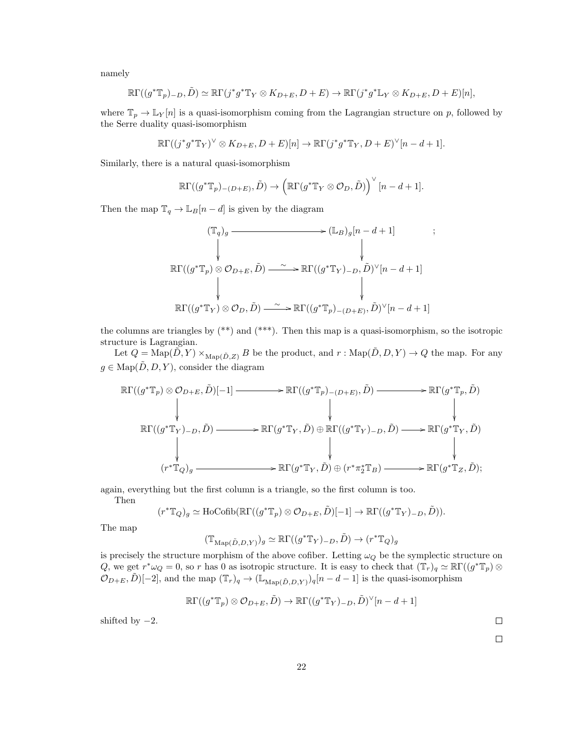namely

$$
\mathbb{R}\Gamma((g^*\mathbb{T}_p)_{-D},\tilde{D})\simeq \mathbb{R}\Gamma(j^*g^*\mathbb{T}_Y\otimes K_{D+E},D+E)\to \mathbb{R}\Gamma(j^*g^*\mathbb{L}_Y\otimes K_{D+E},D+E)[n],
$$

where  $\mathbb{T}_p \to \mathbb{L}_Y[n]$  is a quasi-isomorphism coming from the Lagrangian structure on p, followed by the Serre duality quasi-isomorphism

$$
\mathbb{R}\Gamma((j^*g^*\mathbb{T}_Y)^\vee \otimes K_{D+E}, D+E)[n] \to \mathbb{R}\Gamma(j^*g^*\mathbb{T}_Y, D+E)^\vee[n-d+1].
$$

Similarly, there is a natural quasi-isomorphism

$$
\mathbb{R}\Gamma((g^*\mathbb{T}_p)_{-(D+E)},\tilde{D})\to \left(\mathbb{R}\Gamma(g^*\mathbb{T}_Y\otimes \mathcal{O}_D,\tilde{D})\right)^\vee[n-d+1].
$$

Then the map  $\mathbb{T}_q \to \mathbb{L}_B[n-d]$  is given by the diagram

$$
(\mathbb{T}_q)_g \longrightarrow (\mathbb{L}_B)_g[n-d+1] \qquad ;
$$
  

$$
\downarrow \qquad \qquad \downarrow
$$
  

$$
\mathbb{R}\Gamma((g^*\mathbb{T}_p) \otimes \mathcal{O}_{D+E}, \tilde{D}) \longrightarrow \mathbb{R}\Gamma((g^*\mathbb{T}_Y)_{-D}, \tilde{D})^{\vee}[n-d+1]
$$
  

$$
\downarrow \qquad \qquad \downarrow
$$
  

$$
\mathbb{R}\Gamma((g^*\mathbb{T}_Y) \otimes \mathcal{O}_D, \tilde{D}) \longrightarrow \mathbb{R}\Gamma((g^*\mathbb{T}_p)_{-(D+E)}, \tilde{D})^{\vee}[n-d+1]
$$

the columns are triangles by  $(**)$  and  $(***)$ . Then this map is a quasi-isomorphism, so the isotropic structure is Lagrangian.

Let  $Q = \text{Map}(\tilde{D}, Y) \times_{\text{Map}(\tilde{D}, Z)} B$  be the product, and  $r : \text{Map}(\tilde{D}, D, Y) \to Q$  the map. For any  $g \in \text{Map}(\tilde{D}, D, Y)$ , consider the diagram

$$
\mathbb{R}\Gamma((g^*\mathbb{T}_p)\otimes\mathcal{O}_{D+E},\tilde{D})[-1] \longrightarrow \mathbb{R}\Gamma((g^*\mathbb{T}_p)_{-(D+E)},\tilde{D}) \longrightarrow \mathbb{R}\Gamma(g^*\mathbb{T}_p,\tilde{D})
$$
\n
$$
\downarrow \qquad \qquad \downarrow \qquad \qquad \downarrow
$$
\n
$$
\mathbb{R}\Gamma((g^*\mathbb{T}_Y)_{-D},\tilde{D}) \longrightarrow \mathbb{R}\Gamma(g^*\mathbb{T}_Y,\tilde{D}) \oplus \mathbb{R}\Gamma((g^*\mathbb{T}_Y)_{-D},\tilde{D}) \longrightarrow \mathbb{R}\Gamma(g^*\mathbb{T}_Y,\tilde{D})
$$
\n
$$
\downarrow \qquad \qquad \downarrow
$$
\n
$$
(r^*\mathbb{T}_Q)_g \longrightarrow \mathbb{R}\Gamma(g^*\mathbb{T}_Y,\tilde{D}) \oplus (r^*\pi_2^*\mathbb{T}_B) \longrightarrow \mathbb{R}\Gamma(g^*\mathbb{T}_Z,\tilde{D});
$$

again, everything but the first column is a triangle, so the first column is too.

Then

$$
(r^*\mathbb{T}_Q)_g \simeq \text{HoCofib}(\mathbb{R}\Gamma((g^*\mathbb{T}_p) \otimes \mathcal{O}_{D+E}, \tilde{D})[-1] \to \mathbb{R}\Gamma((g^*\mathbb{T}_Y)_{-D}, \tilde{D})).
$$

The map

$$
(\mathbb{T}_{\mathrm{Map}(\tilde{D},D,Y)})_g \simeq \mathbb{R}\Gamma((g^*\mathbb{T}_Y)_{-D},\tilde{D}) \to (r^*\mathbb{T}_Q)_g
$$

is precisely the structure morphism of the above cofiber. Letting  $\omega_Q$  be the symplectic structure on Q, we get  $r^*\omega_Q = 0$ , so r has 0 as isotropic structure. It is easy to check that  $(\mathbb{T}_r)_q \simeq \mathbb{R}\Gamma((g^*\mathbb{T}_p) \otimes$  $\mathcal{O}_{D+E}, \tilde{D}[-2]$ , and the map  $(\mathbb{T}_r)_q \to (\mathbb{L}_{\text{Map}(\tilde{D},D,Y)})_q[n-d-1]$  is the quasi-isomorphism

$$
\mathbb{R}\Gamma((g^*\mathbb{T}_p)\otimes\mathcal{O}_{D+E},\tilde{D})\to\mathbb{R}\Gamma((g^*\mathbb{T}_Y)_{-D},\tilde{D})^{\vee}[n-d+1]
$$

shifted by  $-2$ .

 $\Box$ 

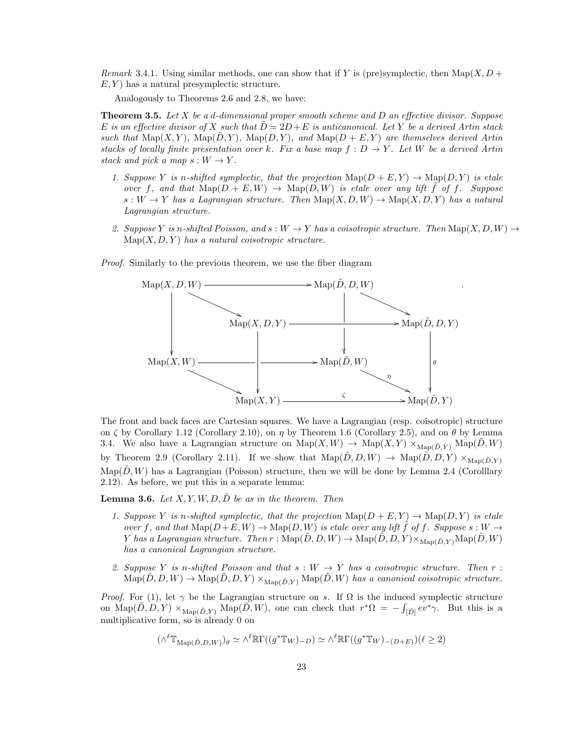Remark 3.4.1. Using similar methods, one can show that if Y is (pre)symplectic, then Map(X,  $D +$  $E, Y$  has a natural presymplectic structure.

Analogously to Theorems 2.6 and 2.8, we have:

**Theorem 3.5.** Let X be a d-dimensional proper smooth scheme and D an effective divisor. Suppose E is an effective divisor of X such that  $D = 2D + E$  is anticanonical. Let Y be a derived Artin stack such that  $\text{Map}(X, Y)$ ,  $\text{Map}(\tilde{D}, Y)$ ,  $\text{Map}(D, Y)$ , and  $\text{Map}(D + E, Y)$  are themselves derived Artin stacks of locally finite presentation over k. Fix a base map  $f: D \to Y$ . Let W be a derived Artin stack and pick a map  $s: W \to Y$ .

- 1. Suppose Y is n-shifted symplectic, that the projection  $\text{Map}(D + E, Y) \to \text{Map}(D, Y)$  is etale over f, and that  $\text{Map}(D + E, W) \to \text{Map}(D, W)$  is etale over any lift f of f. Suppose  $s: W \to Y$  has a Lagrangian structure. Then  $\text{Map}(X, D, W) \to \text{Map}(X, D, Y)$  has a natural Lagrangian structure.
- 2. Suppose Y is n-shifted Poisson, and  $s: W \to Y$  has a coisotropic structure. Then  $\text{Map}(X, D, W) \to$  $Map(X, D, Y)$  has a natural coisotropic structure.

Proof. Similarly to the previous theorem, we use the fiber diagram



The front and back faces are Cartesian squares. We have a Lagrangian (resp. coisotropic) structure on  $\zeta$  by Corollary 1.12 (Corollary 2.10), on  $\eta$  by Theorem 1.6 (Corollary 2.5), and on  $\theta$  by Lemma 3.4. We also have a Lagrangian structure on  $\mathrm{Map}(X, W) \to \mathrm{Map}(X, Y) \times_{\mathrm{Map}(\tilde{D}, Y)} \mathrm{Map}(\tilde{D}, W)$ by Theorem 2.9 (Corollary 2.11). If we show that  $\mathrm{Map}(\tilde{D}, D, W) \to \mathrm{Map}(\tilde{D}, D, Y) \times_{\mathrm{Map}(\tilde{D}, Y)}$  $\text{Map}(D, W)$  has a Lagrangian (Poisson) structure, then we will be done by Lemma 2.4 (Corolllary 2.12). As before, we put this in a separate lemma:

**Lemma 3.6.** Let X, Y, W, D,  $\tilde{D}$  be as in the theorem. Then

- 1. Suppose Y is n-shifted symplectic, that the projection  $\text{Map}(D + E, Y) \to \text{Map}(D, Y)$  is etale over f, and that  $\text{Map}(D+E, W) \to \text{Map}(D, W)$  is etale over any lift f of f. Suppose  $s : W \to W$ Y has a Lagrangian structure. Then  $r : \text{Map}(\tilde{D}, D, W) \to \text{Map}(\tilde{D}, D, Y) \times_{\text{Man}(\tilde{D}, Y)} \text{Map}(\tilde{D}, W)$ has a canonical Lagrangian structure.
- 2. Suppose Y is n-shifted Poisson and that  $s: W \to Y$  has a coisotropic structure. Then r:  $\text{Map}(\tilde{D}, D, W) \to \text{Map}(\tilde{D}, D, Y) \times_{\text{Map}(\tilde{D}, Y)} \text{Map}(\tilde{D}, W)$  has a canonical coisotropic structure.

*Proof.* For (1), let  $\gamma$  be the Lagrangian structure on s. If  $\Omega$  is the induced symplectic structure on  $\text{Map}(\tilde{D}, D, Y) \times_{\text{Map}(\tilde{D}, Y)} \text{Map}(\tilde{D}, W)$ , one can check that  $r^* \Omega = - \int_{\lceil \tilde{D} \rceil} e^{v^* \gamma}$ . But this is a multiplicative form, so is already 0 on

$$
(\wedge^{\ell} \mathbb{T}_{\mathrm{Map}(\tilde{D}, D, W)})_g \simeq \wedge^{\ell} \mathbb{R}\Gamma((g^* \mathbb{T}_W)_{-D}) \simeq \wedge^{\ell} \mathbb{R}\Gamma((g^* \mathbb{T}_W)_{-(D+E)})(\ell \ge 2)
$$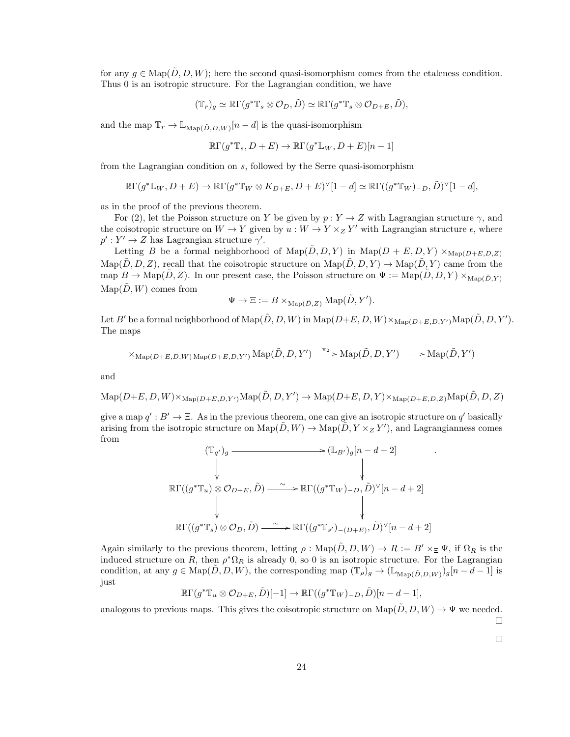for any  $q \in \text{Map}(D, D, W)$ ; here the second quasi-isomorphism comes from the etaleness condition. Thus 0 is an isotropic structure. For the Lagrangian condition, we have

$$
(\mathbb{T}_r)_g \simeq \mathbb{R}\Gamma(g^*\mathbb{T}_s \otimes \mathcal{O}_D, \tilde{D}) \simeq \mathbb{R}\Gamma(g^*\mathbb{T}_s \otimes \mathcal{O}_{D+E}, \tilde{D}),
$$

and the map  $\mathbb{T}_r \to \mathbb{L}_{\text{Map}(\tilde{D}, D, W)}[n-d]$  is the quasi-isomorphism

$$
\mathbb{R}\Gamma(g^*\mathbb{T}_s, D+E) \to \mathbb{R}\Gamma(g^*\mathbb{L}_W, D+E)[n-1]
$$

from the Lagrangian condition on s, followed by the Serre quasi-isomorphism

$$
\mathbb{R}\Gamma(g^*\mathbb{L}_W, D+E) \to \mathbb{R}\Gamma(g^*\mathbb{T}_W \otimes K_{D+E}, D+E)^\vee[1-d] \simeq \mathbb{R}\Gamma((g^*\mathbb{T}_W)_{-D}, \tilde{D})^\vee[1-d],
$$

as in the proof of the previous theorem.

For (2), let the Poisson structure on Y be given by  $p: Y \to Z$  with Lagrangian structure  $\gamma$ , and the coisotropic structure on  $W \to Y$  given by  $u: W \to Y \times_Z Y'$  with Lagrangian structure  $\epsilon$ , where  $p': Y' \to Z$  has Lagrangian structure  $\gamma'.$ 

Letting B be a formal neighborhood of  $\text{Map}(\tilde{D}, D, Y)$  in  $\text{Map}(D + E, D, Y) \times_{\text{Map}(D + E, D, Z)}$  $\text{Map}(\tilde{D}, D, Z)$ , recall that the coisotropic structure on  $\text{Map}(\tilde{D}, D, Y) \to \text{Map}(\tilde{D}, Y)$  came from the map  $B \to \text{Map}(D, Z)$ . In our present case, the Poisson structure on  $\Psi := \text{Map}(D, D, Y) \times_{\text{Map}(\tilde{D}, Y)} \mathbb{Z}$  $\text{Map}(\tilde{D}, W)$  comes from

$$
\Psi \to \Xi := B \times_{\mathrm{Map}(\tilde{D}, Z)} \mathrm{Map}(\tilde{D}, Y').
$$

Let  $B'$  be a formal neighborhood of  $\mathrm{Map}(\tilde{D},D,W)$  in  $\mathrm{Map}(D+E,D,W)\times_{\mathrm{Map}(D+E,D,Y')} \mathrm{Map}(\tilde{D},D,Y').$ The maps

$$
\times_{\mathrm{Map}(D+E,D,W)\mathrm{Map}(D+E,D,Y')}\mathrm{Map}(\tilde{D},D,Y') \xrightarrow{\pi_2} \mathrm{Map}(\tilde{D},D,Y') \longrightarrow \mathrm{Map}(\tilde{D},Y')
$$

and

 $\mathrm{Map}(D+E, D, W) \times_{\mathrm{Map}(D+E, D, Y')} \mathrm{Map}(\tilde{D}, D, Y') \to \mathrm{Map}(D+E, D, Y) \times_{\mathrm{Map}(D+E, D, Z)} \mathrm{Map}(\tilde{D}, D, Z)$ 

give a map  $q' : B' \to \Xi$ . As in the previous theorem, one can give an isotropic structure on  $q'$  basically arising from the isotropic structure on  $\text{Map}(\tilde{D}, W) \to \text{Map}(\tilde{D}, Y \times_Z Y')$ , and Lagrangianness comes from

$$
(\mathbb{T}_{q'})_g \longrightarrow (\mathbb{L}_{B'})_g[n-d+2]
$$
\n
$$
\downarrow \qquad \qquad \downarrow
$$
\n
$$
\mathbb{R}\Gamma((g^*\mathbb{T}_u) \otimes \mathcal{O}_{D+E}, \tilde{D}) \longrightarrow \mathbb{R}\Gamma((g^*\mathbb{T}_W)_{-D}, \tilde{D})^\vee[n-d+2]
$$
\n
$$
\downarrow \qquad \qquad \downarrow
$$
\n
$$
\mathbb{R}\Gamma((g^*\mathbb{T}_s) \otimes \mathcal{O}_D, \tilde{D}) \longrightarrow \mathbb{R}\Gamma((g^*\mathbb{T}_{s'})_{-(D+E)}, \tilde{D})^\vee[n-d+2]
$$

Again similarly to the previous theorem, letting  $\rho : \text{Map}(\tilde{D}, D, W) \to R := B' \times_{\Xi} \Psi$ , if  $\Omega_R$  is the induced structure on R, then  $\rho^* \Omega_R$  is already 0, so 0 is an isotropic structure. For the Lagrangian condition, at any  $g \in \text{Map}(\tilde{D}, D, W)$ , the corresponding map  $(\mathbb{T}_{\rho})_g \to (\mathbb{L}_{\text{Map}(\tilde{D}, D, W)})_g[n - d - 1]$  is just

 $\mathbb{R}\Gamma(g^*\mathbb{T}_u \otimes \mathcal{O}_{D+E}, \tilde{D})[-1] \to \mathbb{R}\Gamma((g^*\mathbb{T}_W)_{-D}, \tilde{D})[n-d-1],$ 

analogous to previous maps. This gives the coisotropic structure on  $\text{Map}(\tilde{D}, D, W) \to \Psi$  we needed.  $\Box$ 

 $\Box$ 

.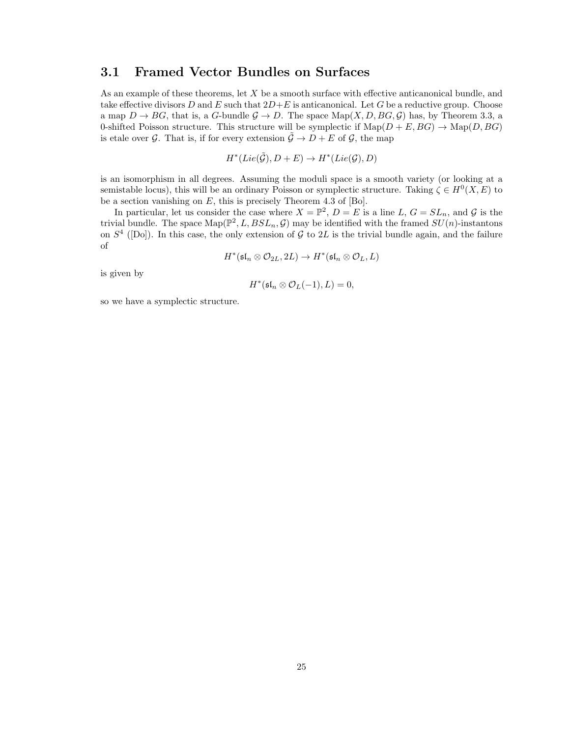### 3.1 Framed Vector Bundles on Surfaces

As an example of these theorems, let X be a smooth surface with effective anticanonical bundle, and take effective divisors D and E such that  $2D+E$  is anticanonical. Let G be a reductive group. Choose a map  $D \to BG$ , that is, a G-bundle  $\mathcal{G} \to D$ . The space  $\text{Map}(X, D, BG, \mathcal{G})$  has, by Theorem 3.3, a 0-shifted Poisson structure. This structure will be symplectic if  $\text{Map}(D + E, BG) \to \text{Map}(D, BG)$ is etale over G. That is, if for every extension  $\tilde{\mathcal{G}} \to D + E$  of G, the map

$$
H^*(Lie(\tilde{\mathcal{G}}), D+E) \to H^*(Lie(\mathcal{G}), D)
$$

is an isomorphism in all degrees. Assuming the moduli space is a smooth variety (or looking at a semistable locus), this will be an ordinary Poisson or symplectic structure. Taking  $\zeta \in H^0(X, E)$  to be a section vanishing on  $E$ , this is precisely Theorem 4.3 of [Bo].

In particular, let us consider the case where  $X = \mathbb{P}^2$ ,  $D = E$  is a line L,  $G = SL_n$ , and G is the trivial bundle. The space  $\text{Map}(\mathbb{P}^2, L, BSL_n, \mathcal{G})$  may be identified with the framed  $SU(n)$ -instantons on  $S<sup>4</sup>$  ([Do]). In this case, the only extension of G to 2L is the trivial bundle again, and the failure of

$$
H^*(\mathfrak{sl}_n \otimes \mathcal{O}_{2L}, 2L) \to H^*(\mathfrak{sl}_n \otimes \mathcal{O}_L, L)
$$

is given by

$$
H^*(\mathfrak{sl}_n \otimes \mathcal{O}_L(-1), L) = 0,
$$

so we have a symplectic structure.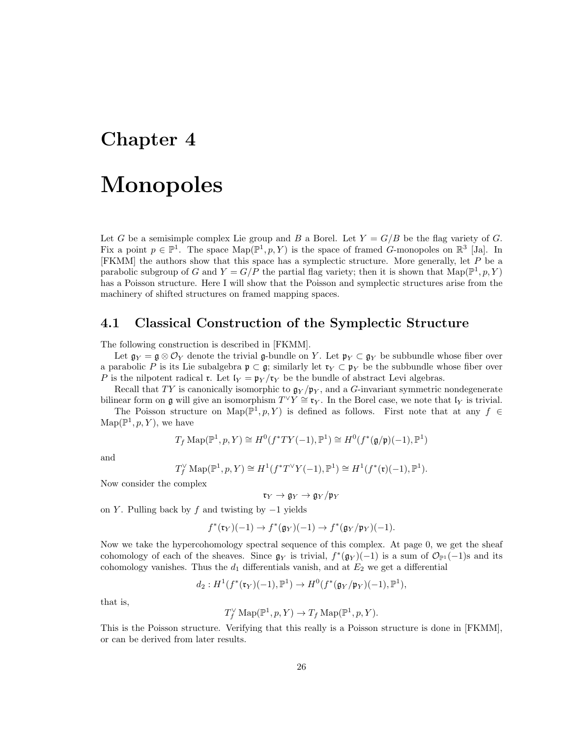### Chapter 4

### Monopoles

Let G be a semisimple complex Lie group and B a Borel. Let  $Y = G/B$  be the flag variety of G. Fix a point  $p \in \mathbb{P}^1$ . The space  $\text{Map}(\mathbb{P}^1, p, Y)$  is the space of framed G-monopoles on  $\mathbb{R}^3$  [Ja]. In [FKMM] the authors show that this space has a symplectic structure. More generally, let P be a parabolic subgroup of G and  $Y = G/P$  the partial flag variety; then it is shown that  $\text{Map}(\mathbb{P}^1, p, Y)$ has a Poisson structure. Here I will show that the Poisson and symplectic structures arise from the machinery of shifted structures on framed mapping spaces.

#### 4.1 Classical Construction of the Symplectic Structure

The following construction is described in [FKMM].

Let  $\mathfrak{g}_Y = \mathfrak{g} \otimes \mathcal{O}_Y$  denote the trivial g-bundle on Y. Let  $\mathfrak{p}_Y \subset \mathfrak{g}_Y$  be subbundle whose fiber over a parabolic P is its Lie subalgebra  $\mathfrak{p} \subset \mathfrak{g}$ ; similarly let  $\mathfrak{r}_Y \subset \mathfrak{p}_Y$  be the subbundle whose fiber over P is the nilpotent radical **r**. Let  $I_Y = \mathfrak{p}_Y / \mathfrak{r}_Y$  be the bundle of abstract Levi algebras.

Recall that TY is canonically isomorphic to  $\mathfrak{g}_Y/\mathfrak{p}_Y$ , and a G-invariant symmetric nondegenerate bilinear form on g will give an isomorphism  $T^{\vee} Y \cong \mathfrak{r}_Y$ . In the Borel case, we note that  $\mathfrak{l}_Y$  is trivial. The Poisson structure on Map( $\mathbb{P}^1, p, Y$ ) is defined as follows. First note that at any  $f \in$  $\mathrm{Map}(\mathbb{P}^1, p, Y)$ , we have

$$
T_f \operatorname{Map}(\mathbb{P}^1, p, Y) \cong H^0(f^*TY(-1), \mathbb{P}^1) \cong H^0(f^*(\mathfrak{g}/\mathfrak{p})(-1), \mathbb{P}^1)
$$

and

$$
T_f^{\vee} \operatorname{Map}(\mathbb{P}^1, p, Y) \cong H^1(f^*T^{\vee}Y(-1), \mathbb{P}^1) \cong H^1(f^*(\mathfrak{r})(-1), \mathbb{P}^1).
$$

Now consider the complex

 $\mathfrak{r}_Y \to \mathfrak{g}_Y \to \mathfrak{g}_Y/\mathfrak{p}_Y$ 

on Y. Pulling back by f and twisting by  $-1$  yields

$$
f^*(\mathfrak{r}_Y)(-1) \to f^*(\mathfrak{g}_Y)(-1) \to f^*(\mathfrak{g}_Y/\mathfrak{p}_Y)(-1).
$$

Now we take the hypercohomology spectral sequence of this complex. At page 0, we get the sheaf cohomology of each of the sheaves. Since  $\mathfrak{g}_Y$  is trivial,  $f^*(\mathfrak{g}_Y)(-1)$  is a sum of  $\mathcal{O}_{\mathbb{P}^1}(-1)$ s and its cohomology vanishes. Thus the  $d_1$  differentials vanish, and at  $E_2$  we get a differential

$$
d_2: H^1(f^*(\mathfrak{r}_Y)(-1), \mathbb{P}^1) \to H^0(f^*(\mathfrak{g}_Y/\mathfrak{p}_Y)(-1), \mathbb{P}^1),
$$

that is,

$$
T_f^{\vee} \operatorname{Map}(\mathbb{P}^1, p, Y) \to T_f \operatorname{Map}(\mathbb{P}^1, p, Y).
$$

This is the Poisson structure. Verifying that this really is a Poisson structure is done in [FKMM], or can be derived from later results.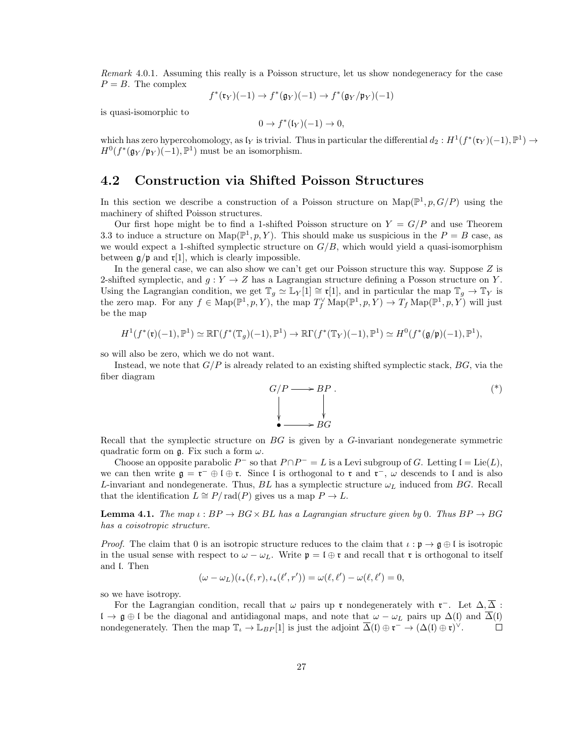Remark 4.0.1. Assuming this really is a Poisson structure, let us show nondegeneracy for the case  $P = B$ . The complex

$$
f^*(\mathfrak{r}_Y)(-1) \to f^*(\mathfrak{g}_Y)(-1) \to f^*(\mathfrak{g}_Y/\mathfrak{p}_Y)(-1)
$$

is quasi-isomorphic to

$$
0 \to f^*(\mathfrak{l}_Y)(-1) \to 0,
$$

which has zero hypercohomology, as  $\mathfrak{l}_Y$  is trivial. Thus in particular the differential  $d_2: H^1(f^*(\mathfrak{r}_Y)(-1), \mathbb{P}^1) \to$  $H^0(f^*(\mathfrak{g}_Y/\mathfrak{p}_Y)(-1), \mathbb{P}^1)$  must be an isomorphism.

### 4.2 Construction via Shifted Poisson Structures

In this section we describe a construction of a Poisson structure on  $\text{Map}(\mathbb{P}^1, p, G/P)$  using the machinery of shifted Poisson structures.

Our first hope might be to find a 1-shifted Poisson structure on  $Y = G/P$  and use Theorem 3.3 to induce a structure on  $\text{Map}(\mathbb{P}^1, p, Y)$ . This should make us suspicious in the  $P = B$  case, as we would expect a 1-shifted symplectic structure on  $G/B$ , which would yield a quasi-isomorphism between  $\mathfrak{g}/\mathfrak{p}$  and  $\mathfrak{r}[1]$ , which is clearly impossible.

In the general case, we can also show we can't get our Poisson structure this way. Suppose Z is 2-shifted symplectic, and  $g: Y \to Z$  has a Lagrangian structure defining a Posson structure on Y. Using the Lagrangian condition, we get  $\mathbb{T}_g \simeq \mathbb{L}_Y[1] \cong \mathfrak{r}[1]$ , and in particular the map  $\mathbb{T}_q \to \mathbb{T}_Y$  is the zero map. For any  $f \in \text{Map}(\mathbb{P}^1, p, Y)$ , the map  $T_f^{\vee} \text{Map}(\mathbb{P}^1, p, Y) \to T_f \text{Map}(\mathbb{P}^1, p, Y)$  will just be the map

$$
H^1(f^*(\mathfrak{r})(-1), \mathbb{P}^1) \simeq \mathbb{R}\Gamma(f^*(\mathbb{T}_g)(-1), \mathbb{P}^1) \to \mathbb{R}\Gamma(f^*(\mathbb{T}_Y)(-1), \mathbb{P}^1) \simeq H^0(f^*(\mathfrak{g}/\mathfrak{p})(-1), \mathbb{P}^1),
$$

so will also be zero, which we do not want.

Instead, we note that  $G/P$  is already related to an existing shifted symplectic stack,  $BG$ , via the fiber diagram



Recall that the symplectic structure on  $BG$  is given by a  $G$ -invariant nondegenerate symmetric quadratic form on  $\mathfrak{g}$ . Fix such a form  $\omega$ .

Choose an opposite parabolic  $P^-$  so that  $P \cap P^- = L$  is a Levi subgroup of G. Letting  $\mathfrak{l} = \text{Lie}(L)$ , we can then write  $\mathfrak{g} = \mathfrak{r}^- \oplus \mathfrak{l} \oplus \mathfrak{r}$ . Since l is orthogonal to  $\mathfrak{r}$  and  $\mathfrak{r}^-$ ,  $\omega$  descends to l and is also L-invariant and nondegenerate. Thus,  $BL$  has a symplectic structure  $\omega_L$  induced from BG. Recall that the identification  $L \cong P/\text{rad}(P)$  gives us a map  $P \to L$ .

**Lemma 4.1.** The map  $\iota : BP \to BG \times BL$  has a Lagrangian structure given by 0. Thus  $BP \to BG$ has a coisotropic structure.

*Proof.* The claim that 0 is an isotropic structure reduces to the claim that  $\iota : \mathfrak{p} \to \mathfrak{g} \oplus \mathfrak{l}$  is isotropic in the usual sense with respect to  $\omega - \omega_L$ . Write  $\mathfrak{p} = \mathfrak{l} \oplus \mathfrak{r}$  and recall that  $\mathfrak{r}$  is orthogonal to itself and l. Then

$$
(\omega - \omega_L)(\iota_*(\ell, r), \iota_*(\ell', r')) = \omega(\ell, \ell') - \omega(\ell, \ell') = 0,
$$

so we have isotropy.

For the Lagrangian condition, recall that  $\omega$  pairs up r nondegenerately with r<sup>-</sup>. Let  $\Delta, \overline{\Delta}$ :  $\mathfrak{l} \to \mathfrak{g} \oplus \mathfrak{l}$  be the diagonal and antidiagonal maps, and note that  $\omega - \omega_L$  pairs up  $\Delta(\mathfrak{l})$  and  $\overline{\Delta}(\mathfrak{l})$ nondegenerately. Then the map  $\mathbb{T}_{\iota} \to \mathbb{L}_{BP}[1]$  is just the adjoint  $\overline{\Delta}(\iota) \oplus \mathfrak{r}^- \to (\Delta(\iota) \oplus \mathfrak{r})^{\vee}$ .  $\Box$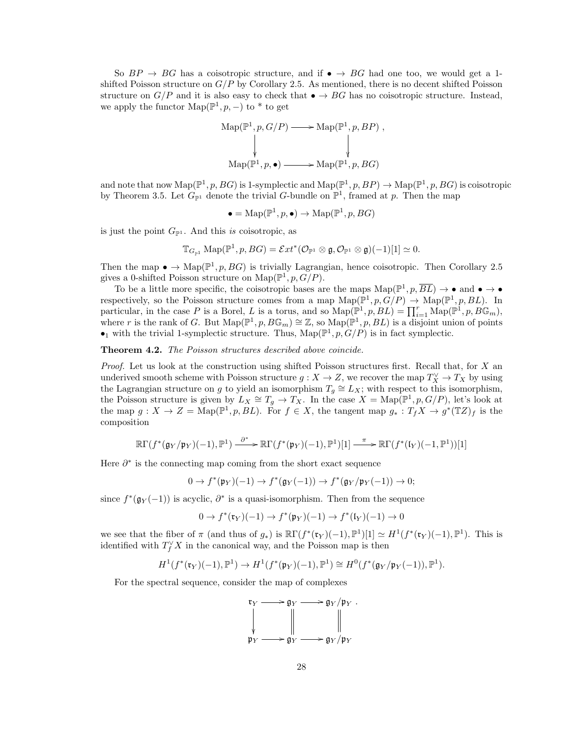So  $BP \rightarrow BG$  has a coisotropic structure, and if  $\bullet \rightarrow BG$  had one too, we would get a 1shifted Poisson structure on  $G/P$  by Corollary 2.5. As mentioned, there is no decent shifted Poisson structure on  $G/P$  and it is also easy to check that  $\bullet \to BG$  has no coisotropic structure. Instead, we apply the functor  $\mathrm{Map}(\mathbb{P}^1, p, -)$  to  $*$  to get

$$
Map(\mathbb{P}^1, p, G/P) \longrightarrow Map(\mathbb{P}^1, p, BP) ,
$$
  
\n
$$
\downarrow \qquad \qquad \downarrow
$$
  
\n
$$
Map(\mathbb{P}^1, p, \bullet) \longrightarrow Map(\mathbb{P}^1, p, BG)
$$

and note that now  $\text{Map}(\mathbb{P}^1, p, BG)$  is 1-symplectic and  $\text{Map}(\mathbb{P}^1, p, BP) \to \text{Map}(\mathbb{P}^1, p, BG)$  is coisotropic by Theorem 3.5. Let  $G_{\mathbb{P}^1}$  denote the trivial G-bundle on  $\mathbb{P}^1$ , framed at p. Then the map

 $\bullet = \text{Map}(\mathbb{P}^1, p, \bullet) \to \text{Map}(\mathbb{P}^1, p, BG)$ 

is just the point  $G_{\mathbb{P}^1}$ . And this is coisotropic, as

$$
\mathbb{T}_{G_{\mathbb{P}^1}} \operatorname{Map}(\mathbb{P}^1, p, BG) = \mathcal{E}xt^*(\mathcal{O}_{\mathbb{P}^1} \otimes \mathfrak{g}, \mathcal{O}_{\mathbb{P}^1} \otimes \mathfrak{g})(-1)[1] \simeq 0.
$$

Then the map  $\bullet \to \text{Map}(\mathbb{P}^1, p, BG)$  is trivially Lagrangian, hence coisotropic. Then Corollary 2.5 gives a 0-shifted Poisson structure on  $\text{Map}(\mathbb{P}^1, p, G/P)$ .

To be a little more specific, the coisotropic bases are the maps  $\text{Map}(\mathbb{P}^1, p, \overline{BL}) \to \bullet$  and  $\bullet \to \bullet$ respectively, so the Poisson structure comes from a map  $\text{Map}(\mathbb{P}^1, p, G/P) \to \text{Map}(\mathbb{P}^1, p, BL)$ . In particular, in the case P is a Borel, L is a torus, and so  $\text{Map}(\mathbb{P}^1, p, BL) = \prod_{i=1}^r \text{Map}(\mathbb{P}^1, p, B\mathbb{G}_m)$ , where r is the rank of G. But  $\text{Map}(\mathbb{P}^1, p, B\mathbb{G}_m) \cong \mathbb{Z}$ , so  $\text{Map}(\mathbb{P}^1, p, BL)$  is a disjoint union of points  $\bullet_1$  with the trivial 1-symplectic structure. Thus,  $\text{Map}(\mathbb{P}^1, p, G/P)$  is in fact symplectic.

Theorem 4.2. The Poisson structures described above coincide.

*Proof.* Let us look at the construction using shifted Poisson structures first. Recall that, for  $X$  and underived smooth scheme with Poisson structure  $g: X \to Z$ , we recover the map  $T_X^{\vee} \to T_X$  by using the Lagrangian structure on g to yield an isomorphism  $T_g \cong L_X$ ; with respect to this isomorphism, the Poisson structure is given by  $L_X \cong T_g \to T_X$ . In the case  $X = \text{Map}(\mathbb{P}^1, p, G/P)$ , let's look at the map  $g: X \to Z = \text{Map}(\mathbb{P}^1, p, BL)$ . For  $f \in X$ , the tangent map  $g_*: T_f X \to g^*(\mathbb{T}Z)_f$  is the composition

$$
\mathbb{R}\Gamma(f^*(\mathfrak{g}_Y/\mathfrak{p}_Y)(-1),\mathbb{P}^1)\xrightarrow{\partial^*} \mathbb{R}\Gamma(f^*(\mathfrak{p}_Y)(-1),\mathbb{P}^1)[1]\xrightarrow{\pi} \mathbb{R}\Gamma(f^*(\mathfrak{l}_Y)(-1,\mathbb{P}^1))[1]
$$

Here  $\partial^*$  is the connecting map coming from the short exact sequence

$$
0 \to f^*(\mathfrak{p}_Y)(-1) \to f^*(\mathfrak{g}_Y(-1)) \to f^*(\mathfrak{g}_Y/\mathfrak{p}_Y(-1)) \to 0;
$$

since  $f^*(\mathfrak{g}_Y(-1))$  is acyclic,  $\partial^*$  is a quasi-isomorphism. Then from the sequence

$$
0 \to f^*(\mathfrak{r}_Y)(-1) \to f^*(\mathfrak{p}_Y)(-1) \to f^*(\mathfrak{l}_Y)(-1) \to 0
$$

we see that the fiber of  $\pi$  (and thus of  $g_*$ ) is  $\mathbb{R}\Gamma(f^*(\mathfrak{r}_Y)(-1), \mathbb{P}^1)[1] \simeq H^1(f^*(\mathfrak{r}_Y)(-1), \mathbb{P}^1)$ . This is identified with  $T_f^{\vee} X$  in the canonical way, and the Poisson map is then

$$
H^1(f^*(\mathfrak{r}_Y)(-1), \mathbb{P}^1) \to H^1(f^*(\mathfrak{p}_Y)(-1), \mathbb{P}^1) \cong H^0(f^*(\mathfrak{g}_Y/\mathfrak{p}_Y(-1)), \mathbb{P}^1).
$$

For the spectral sequence, consider the map of complexes

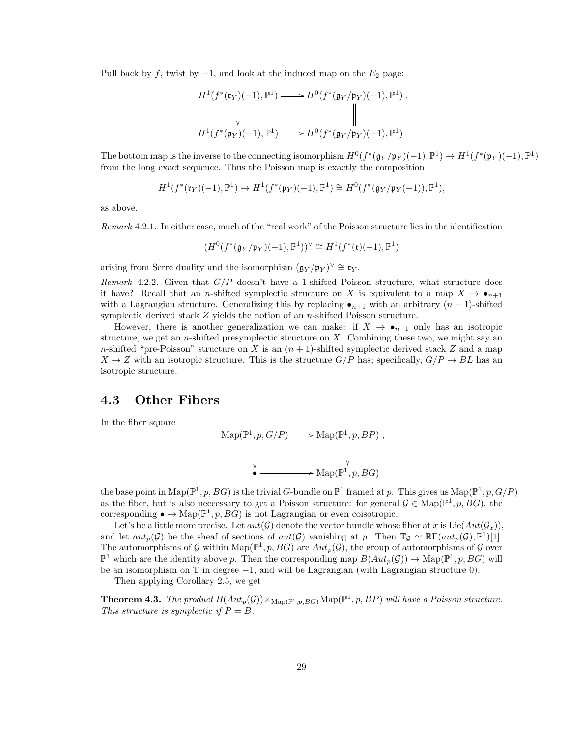Pull back by f, twist by  $-1$ , and look at the induced map on the  $E_2$  page:

$$
H^1(f^*(\mathfrak{r}_Y)(-1), \mathbb{P}^1) \longrightarrow H^0(f^*(\mathfrak{g}_Y/\mathfrak{p}_Y)(-1), \mathbb{P}^1) .
$$
  
\n
$$
\downarrow \qquad \qquad \downarrow \qquad \qquad \parallel
$$
  
\n
$$
H^1(f^*(\mathfrak{p}_Y)(-1), \mathbb{P}^1) \longrightarrow H^0(f^*(\mathfrak{g}_Y/\mathfrak{p}_Y)(-1), \mathbb{P}^1)
$$

The bottom map is the inverse to the connecting isomorphism  $H^0(f^*(\mathfrak{g}_Y/\mathfrak{p}_Y)(-1), \mathbb{P}^1) \to H^1(f^*(\mathfrak{p}_Y)(-1), \mathbb{P}^1)$ from the long exact sequence. Thus the Poisson map is exactly the composition

 $\Box$ 

$$
H^1(f^*(\mathfrak{r}_Y)(-1), \mathbb{P}^1) \to H^1(f^*(\mathfrak{p}_Y)(-1), \mathbb{P}^1) \cong H^0(f^*(\mathfrak{g}_Y/\mathfrak{p}_Y(-1)), \mathbb{P}^1),
$$

as above.

Remark 4.2.1. In either case, much of the "real work" of the Poisson structure lies in the identification

$$
(H^0(f^*(\mathfrak{g}_Y/\mathfrak{p}_Y)(-1),\mathbb{P}^1))^{\vee} \cong H^1(f^*(\mathfrak{r})(-1),\mathbb{P}^1)
$$

arising from Serre duality and the isomorphism  $(\mathfrak{g}_Y/\mathfrak{p}_Y)^{\vee} \cong \mathfrak{r}_Y$ .

Remark 4.2.2. Given that  $G/P$  doesn't have a 1-shifted Poisson structure, what structure does it have? Recall that an n-shifted symplectic structure on X is equivalent to a map  $X \to \bullet_{n+1}$ with a Lagrangian structure. Generalizing this by replacing  $\bullet_{n+1}$  with an arbitrary  $(n+1)$ -shifted symplectic derived stack  $Z$  yields the notion of an *n*-shifted Poisson structure.

However, there is another generalization we can make: if  $X \to \bullet_{n+1}$  only has an isotropic structure, we get an *n*-shifted presymplectic structure on  $X$ . Combining these two, we might say an n-shifted "pre-Poisson" structure on X is an  $(n + 1)$ -shifted symplectic derived stack Z and a map  $X \to Z$  with an isotropic structure. This is the structure  $G/P$  has; specifically,  $G/P \to BL$  has an isotropic structure.

### 4.3 Other Fibers

In the fiber square

Map(
$$
\mathbb{P}^1, p, G/P
$$
)  $\longrightarrow$  Map( $\mathbb{P}^1, p, BP$ ),  
\n $\downarrow$   
\n $\longleftarrow$  Map( $\mathbb{P}^1, p, BG$ )

the base point in  $\text{Map}(\mathbb{P}^1, p, BG)$  is the trivial G-bundle on  $\mathbb{P}^1$  framed at p. This gives us  $\text{Map}(\mathbb{P}^1, p, G/P)$ as the fiber, but is also necessary to get a Poisson structure: for general  $\mathcal{G} \in \text{Map}(\mathbb{P}^1, p, BG)$ , the corresponding  $\bullet \to \text{Map}(\mathbb{P}^1, p, BG)$  is not Lagrangian or even coisotropic.

Let's be a little more precise. Let  $aut(\mathcal{G})$  denote the vector bundle whose fiber at x is Lie( $Aut(\mathcal{G}_x)$ ), and let  $aut_p(\mathcal{G})$  be the sheaf of sections of  $aut(\mathcal{G})$  vanishing at p. Then  $\mathbb{T}_{\mathcal{G}} \simeq \mathbb{R}\Gamma(aut_p(\mathcal{G}), \mathbb{P}^1)[1]$ . The automorphisms of G within Map( $\mathbb{P}^1$ , p, BG) are  $Aut_p(G)$ , the group of automorphisms of G over  $\mathbb{P}^1$  which are the identity above p. Then the corresponding map  $B(Aut_p(\mathcal{G})) \to \text{Map}(\mathbb{P}^1, p, BG)$  will be an isomorphism on T in degree −1, and will be Lagrangian (with Lagrangian structure 0).

Then applying Corollary 2.5, we get

**Theorem 4.3.** The product  $B(Aut_p(\mathcal{G})) \times_{\text{Map}(\mathbb{P}^1,p,BG)} \text{Map}(\mathbb{P}^1,p,BP)$  will have a Poisson structure. This structure is symplectic if  $P = B$ .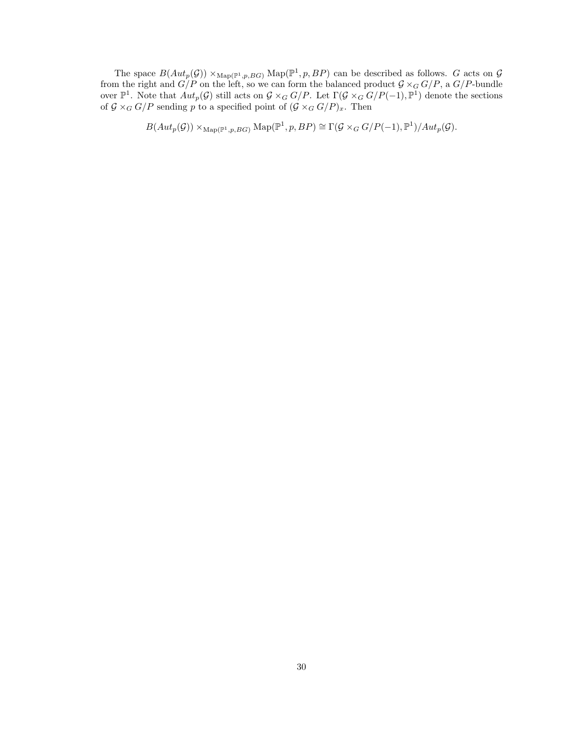The space  $B(Aut_p(\mathcal{G})) \times_{\text{Map}(\mathbb{P}^1, p, BG)} \text{Map}(\mathbb{P}^1, p, BP)$  can be described as follows. G acts on  $\mathcal G$ from the right and  $G/P$  on the left, so we can form the balanced product  $G \times_G G/P$ , a  $G/P$ -bundle over  $\mathbb{P}^1$ . Note that  $Aut_p(\mathcal{G})$  still acts on  $\mathcal{G} \times_G G/P$ . Let  $\Gamma(\mathcal{G} \times_G G/P(-1), \mathbb{P}^1)$  denote the sections of  $G \times_G G/P$  sending p to a specified point of  $(G \times_G G/P)_x$ . Then

 $B(Aut_p(\mathcal{G})) \times_{\text{Map}(\mathbb{P}^1, p, BG)} \text{Map}(\mathbb{P}^1, p, BP) \cong \Gamma(\mathcal{G} \times_G G/P(-1), \mathbb{P}^1)/Aut_p(\mathcal{G}).$